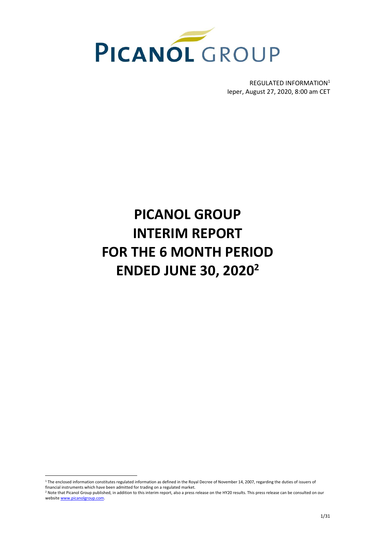

REGULATED INFORMATION<sup>1</sup> Ieper, August 27, 2020, 8:00 am CET

# **PICANOL GROUP INTERIM REPORT FOR THE 6 MONTH PERIOD ENDED JUNE 30, 2020<sup>2</sup>**

<sup>1</sup> The enclosed information constitutes regulated information as defined in the Royal Decree of November 14, 2007, regarding the duties of issuers of financial instruments which have been admitted for trading on a regulated market.

<sup>&</sup>lt;sup>2</sup> Note that Picanol Group published, in addition to this interim report, also a press release on the HY20 results. This press release can be consulted on our websit[e www.picanolgroup.com.](http://www.picanolgroup.com/)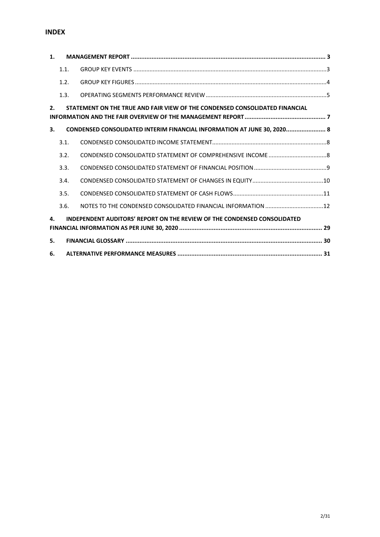# **INDEX**

| 1.             |                                                                                       |                                                                             |  |  |  |  |  |  |
|----------------|---------------------------------------------------------------------------------------|-----------------------------------------------------------------------------|--|--|--|--|--|--|
|                | 1.1.                                                                                  |                                                                             |  |  |  |  |  |  |
|                | 1.2.                                                                                  |                                                                             |  |  |  |  |  |  |
|                | 1.3.                                                                                  |                                                                             |  |  |  |  |  |  |
| $\mathbf{2}$ . |                                                                                       | STATEMENT ON THE TRUE AND FAIR VIEW OF THE CONDENSED CONSOLIDATED FINANCIAL |  |  |  |  |  |  |
| 3.             |                                                                                       | CONDENSED CONSOLIDATED INTERIM FINANCIAL INFORMATION AT JUNE 30, 2020 8     |  |  |  |  |  |  |
|                | 3.1.                                                                                  |                                                                             |  |  |  |  |  |  |
|                | 3.2.                                                                                  |                                                                             |  |  |  |  |  |  |
|                | 3.3.                                                                                  |                                                                             |  |  |  |  |  |  |
|                | 3.4.                                                                                  |                                                                             |  |  |  |  |  |  |
|                | 3.5.                                                                                  |                                                                             |  |  |  |  |  |  |
|                | 3.6.                                                                                  |                                                                             |  |  |  |  |  |  |
|                | <b>INDEPENDENT AUDITORS' REPORT ON THE REVIEW OF THE CONDENSED CONSOLIDATED</b><br>4. |                                                                             |  |  |  |  |  |  |
| 5.             |                                                                                       |                                                                             |  |  |  |  |  |  |
| 6.             |                                                                                       |                                                                             |  |  |  |  |  |  |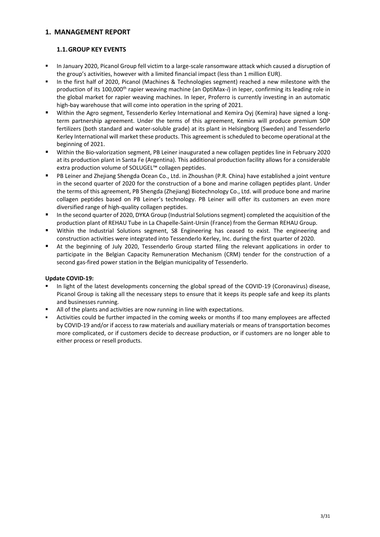# <span id="page-2-0"></span>**1. MANAGEMENT REPORT**

# <span id="page-2-1"></span>**1.1.GROUP KEY EVENTS**

- In January 2020, Picanol Group fell victim to a large-scale ransomware attack which caused a disruption of the group's activities, however with a limited financial impact (less than 1 million EUR).
- In the first half of 2020, Picanol (Machines & Technologies segment) reached a new milestone with the production of its 100,000th rapier weaving machine (an OptiMax-*i*) in Ieper, confirming its leading role in the global market for rapier weaving machines. In Ieper, Proferro is currently investing in an automatic high-bay warehouse that will come into operation in the spring of 2021.
- Within the Agro segment, Tessenderlo Kerley International and Kemira Oyj (Kemira) have signed a longterm partnership agreement. Under the terms of this agreement, Kemira will produce premium SOP fertilizers (both standard and water-soluble grade) at its plant in Helsingborg (Sweden) and Tessenderlo Kerley International will market these products. This agreement is scheduled to become operational at the beginning of 2021.
- Within the Bio-valorization segment, PB Leiner inaugurated a new collagen peptides line in February 2020 at its production plant in Santa Fe (Argentina). This additional production facility allows for a considerable extra production volume of SOLUGEL™ collagen peptides.
- PB Leiner and Zhejiang Shengda Ocean Co., Ltd. in Zhoushan (P.R. China) have established a joint venture in the second quarter of 2020 for the construction of a bone and marine collagen peptides plant. Under the terms of this agreement, PB Shengda (Zhejiang) Biotechnology Co., Ltd. will produce bone and marine collagen peptides based on PB Leiner's technology. PB Leiner will offer its customers an even more diversified range of high-quality collagen peptides.
- In the second quarter of 2020, DYKA Group (Industrial Solutions segment) completed the acquisition of the production plant of REHAU Tube in La Chapelle-Saint-Ursin (France) from the German REHAU Group.
- Within the Industrial Solutions segment, S8 Engineering has ceased to exist. The engineering and construction activities were integrated into Tessenderlo Kerley, Inc. during the first quarter of 2020.
- At the beginning of July 2020, Tessenderlo Group started filing the relevant applications in order to participate in the Belgian Capacity Remuneration Mechanism (CRM) tender for the construction of a second gas-fired power station in the Belgian municipality of Tessenderlo.

## **Update COVID-19:**

- In light of the latest developments concerning the global spread of the COVID-19 (Coronavirus) disease, Picanol Group is taking all the necessary steps to ensure that it keeps its people safe and keep its plants and businesses running.
- All of the plants and activities are now running in line with expectations.
- Activities could be further impacted in the coming weeks or months if too many employees are affected by COVID-19 and/or if access to raw materials and auxiliary materials or means of transportation becomes more complicated, or if customers decide to decrease production, or if customers are no longer able to either process or resell products.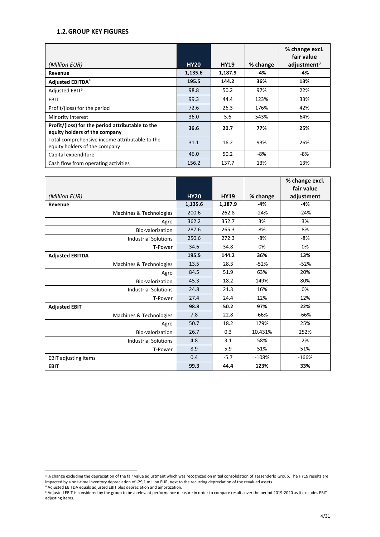# **1.2.GROUP KEY FIGURES**

| (Million EUR)                                                                     | <b>HY20</b> | <b>HY19</b> | % change | % change excl.<br>fair value<br>adjustment <sup>3</sup> |
|-----------------------------------------------------------------------------------|-------------|-------------|----------|---------------------------------------------------------|
| Revenue                                                                           | 1,135.6     | 1,187.9     | -4%      | -4%                                                     |
| <b>Adjusted EBITDA4</b>                                                           | 195.5       | 144.2       | 36%      | 13%                                                     |
| Adjusted EBIT5                                                                    | 98.8        | 50.2        | 97%      | 22%                                                     |
| <b>EBIT</b>                                                                       | 99.3        | 44.4        | 123%     | 33%                                                     |
| Profit/(loss) for the period                                                      | 72.6        | 26.3        | 176%     | 42%                                                     |
| Minority interest                                                                 | 36.0        | 5.6         | 543%     | 64%                                                     |
| Profit/(loss) for the period attributable to the<br>equity holders of the company | 36.6        | 20.7        | 77%      | 25%                                                     |
| Total comprehensive income attributable to the<br>equity holders of the company   | 31.1        | 16.2        | 93%      | 26%                                                     |
| Capital expenditure                                                               | 46.0        | 50.2        | -8%      | $-8%$                                                   |
| Cash flow from operating activities                                               | 156.2       | 137.7       | 13%      | 13%                                                     |

|                             |             |             |          | % change excl.<br>fair value |
|-----------------------------|-------------|-------------|----------|------------------------------|
| (Million EUR)               | <b>HY20</b> | <b>HY19</b> | % change | adjustment                   |
| Revenue                     | 1,135.6     | 1,187.9     | -4%      | $-4%$                        |
| Machines & Technologies     | 200.6       | 262.8       | $-24%$   | $-24%$                       |
| Agro                        | 362.2       | 352.7       | 3%       | 3%                           |
| Bio-valorization            | 287.6       | 265.3       | 8%       | 8%                           |
| <b>Industrial Solutions</b> | 250.6       | 272.3       | $-8%$    | $-8%$                        |
| T-Power                     | 34.6        | 34.8        | 0%       | 0%                           |
| <b>Adjusted EBITDA</b>      | 195.5       | 144.2       | 36%      | 13%                          |
| Machines & Technologies     | 13.5        | 28.3        | $-52%$   | $-52%$                       |
| Agro                        | 84.5        | 51.9        | 63%      | 20%                          |
| Bio-valorization            | 45.3        | 18.2        | 149%     | 80%                          |
| <b>Industrial Solutions</b> | 24.8        | 21.3        | 16%      | 0%                           |
| T-Power                     | 27.4        | 24.4        | 12%      | 12%                          |
| <b>Adjusted EBIT</b>        | 98.8        | 50.2        | 97%      | 22%                          |
| Machines & Technologies     | 7.8         | 22.8        | $-66%$   | $-66%$                       |
| Agro                        | 50.7        | 18.2        | 179%     | 25%                          |
| Bio-valorization            | 26.7        | 0.3         | 10,431%  | 252%                         |
| <b>Industrial Solutions</b> | 4.8         | 3.1         | 58%      | 2%                           |
| T-Power                     | 8.9         | 5.9         | 51%      | 51%                          |
| <b>EBIT adjusting items</b> | 0.4         | $-5.7$      | $-108%$  | $-166%$                      |
| <b>EBIT</b>                 | 99.3        | 44.4        | 123%     | 33%                          |

<sup>&</sup>lt;sup>3</sup>% change excluding the depreciation of the fair value adjustment which was recognized on initial consolidation of Tessenderlo Group. The HY19 results are impacted by a one-time inventory depreciation of -29,1 million EUR, next to the recurring depreciation of the revalued assets.

<sup>4</sup> Adjusted EBITDA equals adjusted EBIT plus depreciation and amortization.

<sup>5</sup> Adjusted EBIT is considered by the group to be a relevant performance measure in order to compare results over the period 2019-2020 as it excludes EBIT adjusting items.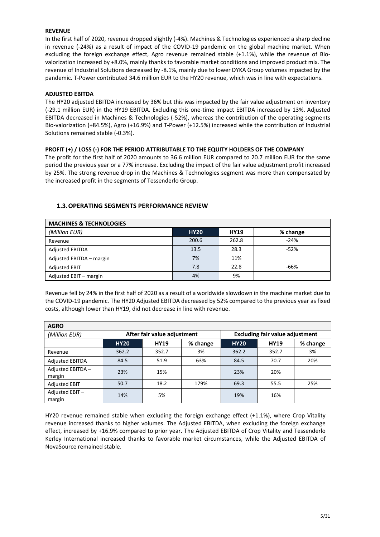## **REVENUE**

In the first half of 2020, revenue dropped slightly (-4%). Machines & Technologies experienced a sharp decline in revenue (-24%) as a result of impact of the COVID-19 pandemic on the global machine market. When excluding the foreign exchange effect, Agro revenue remained stable (+1.1%), while the revenue of Biovalorization increased by +8.0%, mainly thanks to favorable market conditions and improved product mix. The revenue of Industrial Solutions decreased by -8.1%, mainly due to lower DYKA Group volumes impacted by the pandemic. T-Power contributed 34.6 million EUR to the HY20 revenue, which was in line with expectations.

## **ADJUSTED EBITDA**

The HY20 adjusted EBITDA increased by 36% but this was impacted by the fair value adjustment on inventory (-29.1 million EUR) in the HY19 EBITDA. Excluding this one-time impact EBITDA increased by 13%. Adjusted EBITDA decreased in Machines & Technologies (-52%), whereas the contribution of the operating segments Bio-valorization (+84.5%), Agro (+16.9%) and T-Power (+12.5%) increased while the contribution of Industrial Solutions remained stable (-0.3%).

## **PROFIT (+) / LOSS (-) FOR THE PERIOD ATTRIBUTABLE TO THE EQUITY HOLDERS OF THE COMPANY**

The profit for the first half of 2020 amounts to 36.6 million EUR compared to 20.7 million EUR for the same period the previous year or a 77% increase. Excluding the impact of the fair value adjustment profit increased by 25%. The strong revenue drop in the Machines & Technologies segment was more than compensated by the increased profit in the segments of Tessenderlo Group.

| <b>MACHINES &amp; TECHNOLOGIES</b> |             |             |          |  |  |  |  |
|------------------------------------|-------------|-------------|----------|--|--|--|--|
| (Million EUR)                      | <b>HY20</b> | <b>HY19</b> | % change |  |  |  |  |
| Revenue                            | 200.6       | 262.8       | $-24%$   |  |  |  |  |
| <b>Adjusted EBITDA</b>             | 13.5        | 28.3        | $-52%$   |  |  |  |  |
| Adjusted EBITDA - margin           | 7%          | 11%         |          |  |  |  |  |
| <b>Adjusted EBIT</b>               | 7.8         | 22.8        | $-66%$   |  |  |  |  |
| Adjusted EBIT - margin             | 4%          | 9%          |          |  |  |  |  |

## <span id="page-4-0"></span>**1.3.OPERATING SEGMENTS PERFORMANCE REVIEW**

Revenue fell by 24% in the first half of 2020 as a result of a worldwide slowdown in the machine market due to the COVID-19 pandemic. The HY20 Adjusted EBITDA decreased by 52% compared to the previous year as fixed costs, although lower than HY19, did not decrease in line with revenue.

| <b>AGRO</b>                |             |                             |      |                                        |             |          |  |  |  |
|----------------------------|-------------|-----------------------------|------|----------------------------------------|-------------|----------|--|--|--|
| (Million EUR)              |             | After fair value adjustment |      | <b>Excluding fair value adjustment</b> |             |          |  |  |  |
|                            | <b>HY20</b> | % change<br><b>HY19</b>     |      |                                        | <b>HY19</b> | % change |  |  |  |
| Revenue                    | 362.2       | 352.7                       | 3%   | 362.2                                  | 352.7       | 3%       |  |  |  |
| <b>Adjusted EBITDA</b>     | 84.5        | 51.9                        | 63%  | 84.5                                   | 70.7        | 20%      |  |  |  |
| Adjusted EBITDA-<br>margin | 23%         | 15%                         |      | 23%                                    | 20%         |          |  |  |  |
| <b>Adjusted EBIT</b>       | 50.7        | 18.2                        | 179% | 69.3                                   | 55.5        | 25%      |  |  |  |
| Adjusted EBIT-<br>margin   | 14%         | 5%                          |      | 19%                                    | 16%         |          |  |  |  |

HY20 revenue remained stable when excluding the foreign exchange effect (+1.1%), where Crop Vitality revenue increased thanks to higher volumes. The Adjusted EBITDA, when excluding the foreign exchange effect, increased by +16.9% compared to prior year. The Adjusted EBITDA of Crop Vitality and Tessenderlo Kerley International increased thanks to favorable market circumstances, while the Adjusted EBITDA of NovaSource remained stable.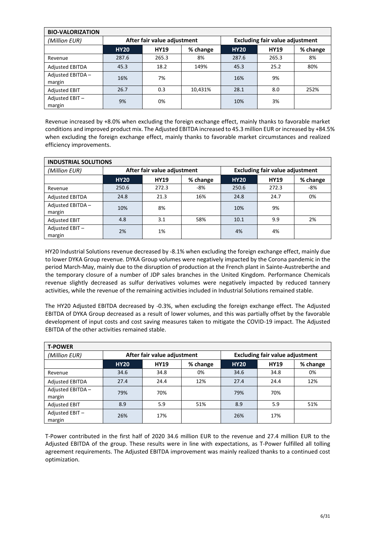| <b>BIO-VALORIZATION</b>    |             |                             |          |                                        |             |          |  |  |  |
|----------------------------|-------------|-----------------------------|----------|----------------------------------------|-------------|----------|--|--|--|
| (Million EUR)              |             | After fair value adjustment |          | <b>Excluding fair value adjustment</b> |             |          |  |  |  |
|                            | <b>HY20</b> | <b>HY19</b>                 | % change | <b>HY20</b>                            | <b>HY19</b> | % change |  |  |  |
| Revenue                    | 287.6       | 265.3                       | 8%       | 287.6                                  | 265.3       | 8%       |  |  |  |
| <b>Adjusted EBITDA</b>     | 45.3        | 18.2                        | 149%     | 45.3                                   | 25.2        | 80%      |  |  |  |
| Adjusted EBITDA-<br>margin | 16%         | 7%                          |          | 16%                                    | 9%          |          |  |  |  |
| <b>Adjusted EBIT</b>       | 26.7        | 0.3                         | 10,431%  | 28.1                                   | 8.0         | 252%     |  |  |  |
| Adjusted EBIT-<br>margin   | 9%          | 0%                          |          | 10%                                    | 3%          |          |  |  |  |

Revenue increased by +8.0% when excluding the foreign exchange effect, mainly thanks to favorable market conditions and improved product mix. The Adjusted EBITDA increased to 45.3 million EUR or increased by +84.5% when excluding the foreign exchange effect, mainly thanks to favorable market circumstances and realized efficiency improvements.

| <b>INDUSTRIAL SOLUTIONS</b> |             |                             |          |                                        |             |          |  |  |
|-----------------------------|-------------|-----------------------------|----------|----------------------------------------|-------------|----------|--|--|
| (Million EUR)               |             | After fair value adjustment |          | <b>Excluding fair value adjustment</b> |             |          |  |  |
|                             | <b>HY20</b> | <b>HY19</b>                 | % change | <b>HY20</b>                            | <b>HY19</b> | % change |  |  |
| Revenue                     | 250.6       | 272.3                       | -8%      | 250.6                                  | 272.3       | $-8%$    |  |  |
| <b>Adjusted EBITDA</b>      | 24.8        | 21.3                        | 16%      | 24.8                                   | 24.7        | 0%       |  |  |
| Adjusted EBITDA-<br>margin  | 10%         | 8%                          |          | 10%                                    | 9%          |          |  |  |
| <b>Adjusted EBIT</b>        | 4.8         | 3.1                         | 58%      | 10.1                                   | 9.9         | 2%       |  |  |
| Adjusted EBIT-<br>margin    | 2%          | 1%                          |          | 4%                                     | 4%          |          |  |  |

HY20 Industrial Solutions revenue decreased by -8.1% when excluding the foreign exchange effect, mainly due to lower DYKA Group revenue. DYKA Group volumes were negatively impacted by the Corona pandemic in the period March-May, mainly due to the disruption of production at the French plant in Sainte-Austreberthe and the temporary closure of a number of JDP sales branches in the United Kingdom. Performance Chemicals revenue slightly decreased as sulfur derivatives volumes were negatively impacted by reduced tannery activities, while the revenue of the remaining activities included in Industrial Solutions remained stable.

The HY20 Adjusted EBITDA decreased by -0.3%, when excluding the foreign exchange effect. The Adjusted EBITDA of DYKA Group decreased as a result of lower volumes, and this was partially offset by the favorable development of input costs and cost saving measures taken to mitigate the COVID-19 impact. The Adjusted EBITDA of the other activities remained stable.

| <b>T-POWER</b>             |                                        |                             |             |                                        |          |     |  |  |  |
|----------------------------|----------------------------------------|-----------------------------|-------------|----------------------------------------|----------|-----|--|--|--|
| (Million EUR)              |                                        | After fair value adjustment |             | <b>Excluding fair value adjustment</b> |          |     |  |  |  |
|                            | <b>HY20</b><br><b>HY19</b><br>% change |                             | <b>HY20</b> | <b>HY19</b>                            | % change |     |  |  |  |
| Revenue                    | 34.6                                   | 34.8                        | 0%          | 34.6                                   | 34.8     | 0%  |  |  |  |
| <b>Adjusted EBITDA</b>     | 27.4                                   | 24.4                        | 12%         | 27.4                                   | 24.4     | 12% |  |  |  |
| Adjusted EBITDA-<br>margin | 79%                                    | 70%                         |             | 79%                                    | 70%      |     |  |  |  |
| <b>Adjusted EBIT</b>       | 8.9                                    | 5.9                         | 51%         | 8.9                                    | 5.9      | 51% |  |  |  |
| Adjusted EBIT-<br>margin   | 26%                                    | 17%                         |             | 26%                                    | 17%      |     |  |  |  |

T-Power contributed in the first half of 2020 34.6 million EUR to the revenue and 27.4 million EUR to the Adjusted EBITDA of the group. These results were in line with expectations, as T-Power fulfilled all tolling agreement requirements. The Adjusted EBITDA improvement was mainly realized thanks to a continued cost optimization.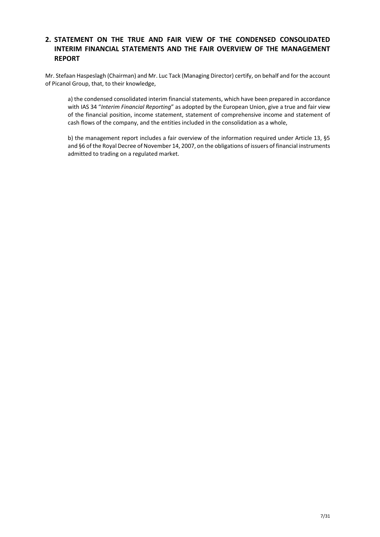# <span id="page-6-0"></span>**2. STATEMENT ON THE TRUE AND FAIR VIEW OF THE CONDENSED CONSOLIDATED INTERIM FINANCIAL STATEMENTS AND THE FAIR OVERVIEW OF THE MANAGEMENT REPORT**

Mr. Stefaan Haspeslagh (Chairman) and Mr. Luc Tack (Managing Director) certify, on behalf and for the account of Picanol Group, that, to their knowledge,

a) the condensed consolidated interim financial statements, which have been prepared in accordance with IAS 34 "*Interim Financial Reporting*" as adopted by the European Union, give a true and fair view of the financial position, income statement, statement of comprehensive income and statement of cash flows of the company, and the entities included in the consolidation as a whole,

b) the management report includes a fair overview of the information required under Article 13, §5 and §6 of the Royal Decree of November 14, 2007, on the obligations of issuers of financial instruments admitted to trading on a regulated market.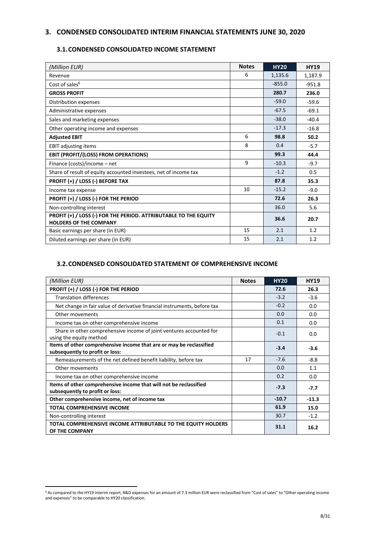# <span id="page-7-0"></span>**3. CONDENSED CONSOLIDATED INTERIM FINANCIAL STATEMENTS JUNE 30, 2020**

# <span id="page-7-1"></span>**3.1.CONDENSED CONSOLIDATED INCOME STATEMENT**

| (Million EUR)                                                                                     | <b>Notes</b> | <b>HY20</b> | <b>HY19</b> |
|---------------------------------------------------------------------------------------------------|--------------|-------------|-------------|
| Revenue                                                                                           | 6            | 1,135.6     | 1,187.9     |
| Cost of sales <sup>6</sup>                                                                        |              | $-855.0$    | $-951.8$    |
| <b>GROSS PROFIT</b>                                                                               |              | 280.7       | 236.0       |
| Distribution expenses                                                                             |              | $-59.0$     | $-59.6$     |
| Administrative expenses                                                                           |              | $-67.5$     | $-69.1$     |
| Sales and marketing expenses                                                                      |              | $-38.0$     | $-40.4$     |
| Other operating income and expenses                                                               |              | $-17.3$     | $-16.8$     |
| <b>Adjusted EBIT</b>                                                                              | 6            | 98.8        | 50.2        |
| <b>EBIT adjusting items</b>                                                                       | 8            | 0.4         | $-5.7$      |
| EBIT (PROFIT/(LOSS) FROM OPERATIONS)                                                              |              | 99.3        | 44.4        |
| Finance (costs)/income - net                                                                      | 9            | $-10.3$     | $-9.7$      |
| Share of result of equity accounted investees, net of income tax                                  |              | $-1.2$      | 0.5         |
| PROFIT (+) / LOSS (-) BEFORE TAX                                                                  |              | 87.8        | 35.3        |
| Income tax expense                                                                                | 10           | $-15.2$     | $-9.0$      |
| PROFIT (+) / LOSS (-) FOR THE PERIOD                                                              |              | 72.6        | 26.3        |
| Non-controlling interest                                                                          |              | 36.0        | 5.6         |
| PROFIT (+) / LOSS (-) FOR THE PERIOD. ATTRIBUTABLE TO THE EQUITY<br><b>HOLDERS OF THE COMPANY</b> |              | 36.6        | 20.7        |
| Basic earnings per share (in EUR)                                                                 | 15           | 2.1         | 1.2         |
| Diluted earnings per share (in EUR)                                                               | 15           | 2.1         | 1.2         |

## <span id="page-7-2"></span>**3.2.CONDENSED CONSOLIDATED STATEMENT OF COMPREHENSIVE INCOME**

| (Million EUR)                                                                                          | <b>Notes</b> | <b>HY20</b> | <b>HY19</b> |
|--------------------------------------------------------------------------------------------------------|--------------|-------------|-------------|
| PROFIT (+) / LOSS (-) FOR THE PERIOD                                                                   |              | 72.6        | 26.3        |
| <b>Translation differences</b>                                                                         |              | $-3.2$      | $-3.6$      |
| Net change in fair value of derivative financial instruments, before tax                               |              | $-0.2$      | 0.0         |
| Other movements                                                                                        |              | 0.0         | 0.0         |
| Income tax on other comprehensive income                                                               |              | 0.1         | 0.0         |
| Share in other comprehensive income of joint ventures accounted for<br>using the equity method         |              | $-0.1$      | 0.0         |
| Items of other comprehensive income that are or may be reclassified<br>subsequently to profit or loss: |              | $-3.4$      | $-3.6$      |
| Remeasurements of the net defined benefit liability, before tax                                        | 17           | $-7.6$      | $-8.8$      |
| Other movements                                                                                        |              | 0.0         | 1.1         |
| Income tax on other comprehensive income                                                               |              | 0.2         | 0.0         |
| Items of other comprehensive income that will not be reclassified<br>subsequently to profit or loss:   |              | $-7.3$      | $-7.7$      |
| Other comprehensive income, net of income tax                                                          |              | $-10.7$     | $-11.3$     |
| <b>TOTAL COMPREHENSIVE INCOME</b>                                                                      |              | 61.9        | 15.0        |
| Non-controlling interest                                                                               |              | 30.7        | $-1.2$      |
| TOTAL COMPREHENSIVE INCOME ATTRIBUTABLE TO THE EQUITY HOLDERS<br>OF THE COMPANY                        |              | 31.1        | 16.2        |

<sup>6</sup> As compared to the HY19 interim report, R&D expenses for an amount of 7.3 million EUR were reclassified from "Cost of sales" to "Other operating income and expenses" to be comparable to HY20 classification.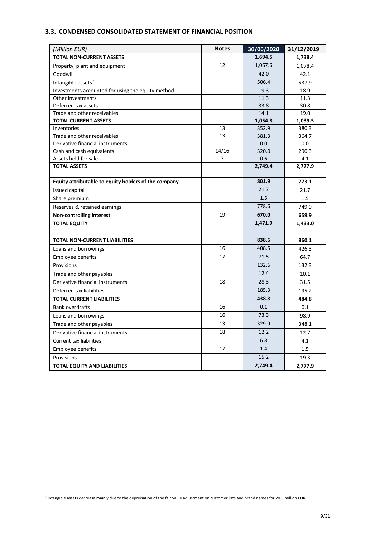# <span id="page-8-0"></span>**3.3. CONDENSED CONSOLIDATED STATEMENT OF FINANCIAL POSITION**

| (Million EUR)                                        | <b>Notes</b> | 30/06/2020 | 31/12/2019 |
|------------------------------------------------------|--------------|------------|------------|
| <b>TOTAL NON-CURRENT ASSETS</b>                      |              | 1,694.5    | 1,738.4    |
| Property, plant and equipment                        | 12           | 1,067.6    | 1,078.4    |
| Goodwill                                             |              | 42.0       | 42.1       |
| Intangible assets <sup>7</sup>                       |              | 506.4      | 537.9      |
| Investments accounted for using the equity method    |              | 19.3       | 18.9       |
| Other investments                                    |              | 11.3       | 11.3       |
| Deferred tax assets                                  |              | 33.8       | 30.8       |
| Trade and other receivables                          |              | 14.1       | 19.0       |
| <b>TOTAL CURRENT ASSETS</b>                          |              | 1,054.8    | 1,039.5    |
| Inventories                                          | 13           | 352.9      | 380.3      |
| Trade and other receivables                          | 13           | 381.3      | 364.7      |
| Derivative financial instruments                     |              | 0.0        | 0.0        |
| Cash and cash equivalents                            | 14/16        | 320.0      | 290.3      |
| Assets held for sale                                 | 7            | 0.6        | 4.1        |
| <b>TOTAL ASSETS</b>                                  |              | 2,749.4    | 2,777.9    |
|                                                      |              |            |            |
| Equity attributable to equity holders of the company |              | 801.9      | 773.1      |
| Issued capital                                       |              | 21.7       | 21.7       |
| Share premium                                        |              | 1.5        | 1.5        |
| Reserves & retained earnings                         |              | 778.6      | 749.9      |
| <b>Non-controlling interest</b>                      | 19           | 670.0      | 659.9      |
| <b>TOTAL EQUITY</b>                                  |              | 1,471.9    | 1,433.0    |
|                                                      |              |            |            |
| <b>TOTAL NON-CURRENT LIABILITIES</b>                 |              | 838.6      | 860.1      |
| Loans and borrowings                                 | 16           | 408.5      | 426.3      |
| <b>Employee benefits</b>                             | 17           | 71.5       | 64.7       |
| Provisions                                           |              | 132.6      | 132.3      |
| Trade and other payables                             |              | 12.4       | 10.1       |
| Derivative financial instruments                     | 18           | 28.3       | 31.5       |
| Deferred tax liabilities                             |              | 185.3      | 195.2      |
| <b>TOTAL CURRENT LIABILITIES</b>                     |              | 438.8      | 484.8      |
| <b>Bank overdrafts</b>                               | 16           | 0.1        | 0.1        |
| Loans and borrowings                                 | 16           | 73.3       | 98.9       |
| Trade and other payables                             | 13           | 329.9      | 348.1      |
| Derivative financial instruments                     | 18           | 12.2       | 12.7       |
| <b>Current tax liabilities</b>                       |              | 6.8        | 4.1        |
| <b>Employee benefits</b>                             | 17           | 1.4        | 1.5        |
| Provisions                                           |              | 15.2       | 19.3       |
| <b>TOTAL EQUITY AND LIABILITIES</b>                  |              | 2,749.4    | 2,777.9    |

<sup>&</sup>lt;sup>7</sup> Intangible assets decrease mainly due to the depreciation of the fair value adjustment on customer lists and brand names for 20.8 million EUR.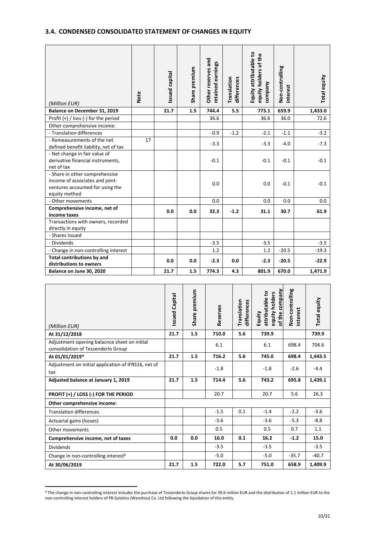# <span id="page-9-0"></span>**3.4. CONDENSED CONSOLIDATED STATEMENT OF CHANGES IN EQUITY**

| (Million EUR)                                                                                                          | <b>Note</b> | Issued capital | Share premium | Other reserves and<br>retained earnings | Translation<br>differences | Equity attributable to<br>equity holders of the<br>company | Non-controlling<br>interest | Total equity |
|------------------------------------------------------------------------------------------------------------------------|-------------|----------------|---------------|-----------------------------------------|----------------------------|------------------------------------------------------------|-----------------------------|--------------|
| Balance on December 31, 2019                                                                                           |             | 21.7           | 1.5           | 744.4                                   | 5.5                        | 773.1                                                      | 659.9                       | 1,433.0      |
| Profit $(+)$ / loss (-) for the period                                                                                 |             |                |               | 36.6                                    |                            | 36.6                                                       | 36.0                        | 72.6         |
| Other comprehensive income:                                                                                            |             |                |               |                                         |                            |                                                            |                             |              |
| - Translation differences                                                                                              |             |                |               | $-0.9$                                  | $-1.2$                     | $-2.1$                                                     | $-1.1$                      | $-3.2$       |
| - Remeasurements of the net<br>defined benefit liability, net of tax                                                   | 17          |                |               | $-3.3$                                  |                            | $-3.3$                                                     | $-4.0$                      | $-7.3$       |
| - Net change in fair value of<br>derivative financial instruments,<br>net of tax                                       |             |                |               | $-0.1$                                  |                            | $-0.1$                                                     | $-0.1$                      | $-0.1$       |
| - Share in other comprehensive<br>income of associates and joint-<br>ventures accounted for using the<br>equity method |             |                |               | 0.0                                     |                            | 0.0                                                        | $-0.1$                      | $-0.1$       |
| - Other movements                                                                                                      |             |                |               | 0.0                                     |                            | 0.0                                                        | 0.0                         | 0.0          |
| Comprehensive income, net of<br>income taxes                                                                           |             | 0.0            | 0.0           | 32.3                                    | $-1.2$                     | 31.1                                                       | 30.7                        | 61.9         |
| Transactions with owners, recorded<br>directly in equity                                                               |             |                |               |                                         |                            |                                                            |                             |              |
| - Shares issued                                                                                                        |             |                |               |                                         |                            |                                                            |                             |              |
| - Dividends                                                                                                            |             |                |               | $-3.5$                                  |                            | $-3.5$                                                     |                             | $-3.5$       |
| - Change in non-controlling interest                                                                                   |             |                |               | 1.2                                     |                            | 1.2                                                        | $-20.5$                     | $-19.3$      |
| Total contributions by and<br>distributions to owners                                                                  |             | 0.0            | 0.0           | $-2.3$                                  | 0.0                        | $-2.3$                                                     | $-20.5$                     | $-22.9$      |
| Balance on June 30, 2020                                                                                               |             | 21.7           | 1.5           | 774.3                                   | 4.3                        | 801.9                                                      | 670.0                       | 1,471.9      |

| (Million EUR)                                                                      | <b>Issued Capital</b> | premium<br>Share | Reserves | Translation<br>differences | Company<br>attributable to<br>equity holders<br>of the<br>Equity | Non-controlling<br>interest | Total equity |
|------------------------------------------------------------------------------------|-----------------------|------------------|----------|----------------------------|------------------------------------------------------------------|-----------------------------|--------------|
| At 31/12/2018                                                                      | 21.7                  | 1.5              | 710.0    | 5.6                        | 739.9                                                            |                             | 739.9        |
| Adjustment opening balacnce sheet on initial<br>consolidation of Tessenderlo Group |                       |                  | 6.1      |                            | 6.1                                                              | 698.4                       | 704.6        |
| At 01/01/2019*                                                                     | 21.7                  | 1.5              | 716.2    | 5.6                        | 745.0                                                            | 698.4                       | 1,443.5      |
| Adjustment on initial application of IFRS16, net of<br>tax                         |                       |                  | $-1.8$   |                            | $-1.8$                                                           | $-2.6$                      | $-4.4$       |
| Adjusted balance at January 1, 2019                                                | 21.7                  | 1.5              | 714.4    | 5.6                        | 743.2                                                            | 695.8                       | 1,439.1      |
| PROFIT (+) / LOSS (-) FOR THE PERIOD                                               |                       |                  | 20.7     |                            | 20.7                                                             | 5.6                         | 26.3         |
| Other comprehensive income:                                                        |                       |                  |          |                            |                                                                  |                             |              |
| <b>Translation differences</b>                                                     |                       |                  | $-1.5$   | 0.1                        | $-1.4$                                                           | $-2.2$                      | $-3.6$       |
| Actuarial gains (losses)                                                           |                       |                  | $-3.6$   |                            | $-3.6$                                                           | $-5.3$                      | $-8.8$       |
| Other movements                                                                    |                       |                  | 0.5      |                            | 0.5                                                              | 0.7                         | 1.1          |
| Comprehensive income, net of taxes                                                 | 0.0                   | 0.0              | 16.0     | 0.1                        | 16.2                                                             | $-1.2$                      | 15.0         |
| Dividends                                                                          |                       |                  | $-3.5$   |                            | $-3.5$                                                           |                             | $-3.5$       |
| Change in non-controlling interest <sup>8</sup>                                    |                       |                  | $-5.0$   |                            | $-5.0$                                                           | $-35.7$                     | $-40.7$      |
| At 30/06/2019                                                                      | 21.7                  | 1.5              | 722.0    | 5.7                        | 751.0                                                            | 658.9                       | 1,409.9      |

<sup>8</sup> The change in non-controlling interest includes the purchase of Tessenderlo Group shares for 39.6 million EUR and the distribution of 1.1 million EUR to the non-controlling interest holders of PB Gelatins (Wenzhou) Co. Ltd following the liquidation of this entity.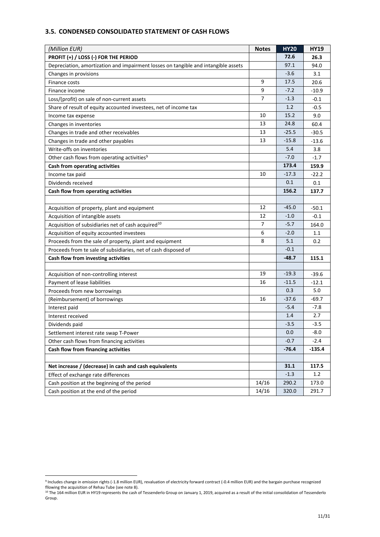# <span id="page-10-0"></span>**3.5. CONDENSED CONSOLIDATED STATEMENT OF CASH FLOWS**

| (Million EUR)                                                                      | <b>Notes</b>   | <b>HY20</b> | <b>HY19</b> |
|------------------------------------------------------------------------------------|----------------|-------------|-------------|
| PROFIT (+) / LOSS (-) FOR THE PERIOD                                               |                | 72.6        | 26.3        |
| Depreciation, amortization and impairment losses on tangible and intangible assets |                | 97.1        | 94.0        |
| Changes in provisions                                                              |                | $-3.6$      | 3.1         |
| Finance costs                                                                      | 9              | 17.5        | 20.6        |
| Finance income                                                                     | 9              | $-7.2$      | $-10.9$     |
| Loss/(profit) on sale of non-current assets                                        | $\overline{7}$ | $-1.3$      | $-0.1$      |
| Share of result of equity accounted investees, net of income tax                   |                | 1.2         | $-0.5$      |
| Income tax expense                                                                 | 10             | 15.2        | 9.0         |
| Changes in inventories                                                             | 13             | 24.8        | 60.4        |
| Changes in trade and other receivables                                             | 13             | $-25.5$     | $-30.5$     |
| Changes in trade and other payables                                                | 13             | $-15.8$     | $-13.6$     |
| Write-offs on inventories                                                          |                | 5.4         | 3.8         |
| Other cash flows from operating activities <sup>9</sup>                            |                | $-7.0$      | $-1.7$      |
| Cash from operating activities                                                     |                | 173.4       | 159.9       |
| Income tax paid                                                                    | 10             | $-17.3$     | $-22.2$     |
| Dividends received                                                                 |                | 0.1         | 0.1         |
| Cash flow from operating activities                                                |                | 156.2       | 137.7       |
|                                                                                    |                |             |             |
| Acquisition of property, plant and equipment                                       | 12             | $-45.0$     | $-50.1$     |
| Acquisition of intangible assets                                                   | 12             | $-1.0$      | $-0.1$      |
| Acquisition of subsidiaries net of cash acquired <sup>10</sup>                     | $\overline{7}$ | $-5.7$      | 164.0       |
| Acquisition of equity accounted investees                                          | 6              | $-2.0$      | 1.1         |
| Proceeds from the sale of property, plant and equipment                            | 8              | 5.1         | 0.2         |
| Proceeds from te sale of subsidiaries, net of cash disposed of                     |                | $-0.1$      |             |
| Cash flow from investing activities                                                |                | $-48.7$     | 115.1       |
|                                                                                    |                |             |             |
| Acquisition of non-controlling interest                                            | 19             | $-19.3$     | $-39.6$     |
| Payment of lease liabilities                                                       | 16             | $-11.5$     | $-12.1$     |
| Proceeds from new borrowings                                                       |                | 0.3         | 5.0         |
| (Reimbursement) of borrowings                                                      | 16             | $-37.6$     | $-69.7$     |
| Interest paid                                                                      |                | $-5.4$      | $-7.8$      |
| Interest received                                                                  |                | 1.4         | 2.7         |
| Dividends paid                                                                     |                | $-3.5$      | $-3.5$      |
| Settlement interest rate swap T-Power                                              |                | 0.0         | $-8.0$      |
| Other cash flows from financing activities                                         |                | $-0.7$      | $-2.4$      |
| Cash flow from financing activities                                                |                | -76.4       | $-135.4$    |
|                                                                                    |                |             |             |
| Net increase / (decrease) in cash and cash equivalents                             |                | 31.1        | 117.5       |
| Effect of exchange rate differences                                                |                | $-1.3$      | 1.2         |
| Cash position at the beginning of the period                                       | 14/16          | 290.2       | 173.0       |
| Cash position at the end of the period                                             | 14/16          | 320.0       | 291.7       |

<sup>9</sup> Includes change in emission rights (-1.8 million EUR), revaluation of electricity forward contract (-0.4 million EUR) and the bargain purchase recognized fllowing the acquisition of Rehau Tube (see note 8).

<sup>&</sup>lt;sup>10</sup> The 164 million EUR in HY19 represents the cash of Tessenderlo Group on January 1, 2019, acquired as a result of the initial consolidation of Tessenderlo Group.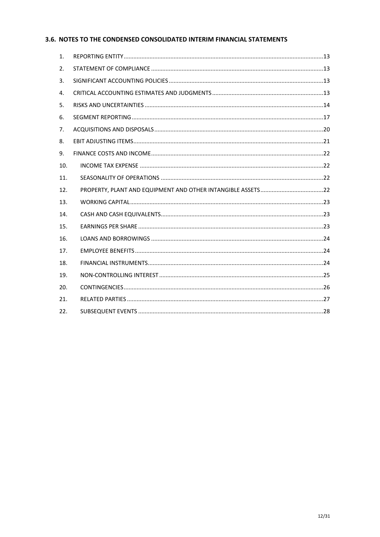# <span id="page-11-0"></span>3.6. NOTES TO THE CONDENSED CONSOLIDATED INTERIM FINANCIAL STATEMENTS

| 1.  |  |
|-----|--|
| 2.  |  |
| 3.  |  |
| 4.  |  |
| 5.  |  |
| 6.  |  |
| 7.  |  |
| 8.  |  |
| 9.  |  |
| 10. |  |
| 11. |  |
| 12. |  |
| 13. |  |
| 14. |  |
| 15. |  |
| 16. |  |
| 17. |  |
| 18. |  |
| 19. |  |
| 20. |  |
| 21. |  |
| 22. |  |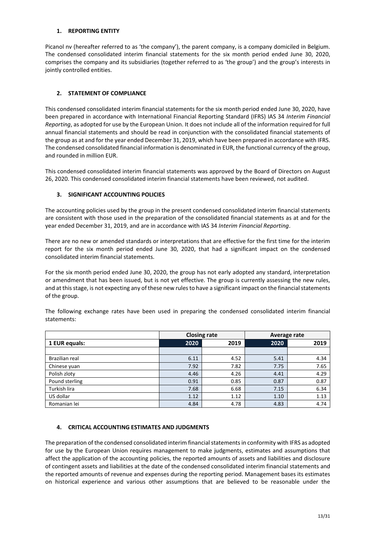## <span id="page-12-0"></span>**1. REPORTING ENTITY**

Picanol nv (hereafter referred to as 'the company'), the parent company, is a company domiciled in Belgium. The condensed consolidated interim financial statements for the six month period ended June 30, 2020, comprises the company and its subsidiaries (together referred to as 'the group') and the group's interests in jointly controlled entities.

## <span id="page-12-1"></span>**2. STATEMENT OF COMPLIANCE**

This condensed consolidated interim financial statements for the six month period ended June 30, 2020, have been prepared in accordance with International Financial Reporting Standard (IFRS) IAS 34 *Interim Financial Reporting*, as adopted for use by the European Union. It does not include all of the information required for full annual financial statements and should be read in conjunction with the consolidated financial statements of the group as at and for the year ended December 31, 2019, which have been prepared in accordance with IFRS. The condensed consolidated financial information is denominated in EUR, the functional currency of the group, and rounded in million EUR.

This condensed consolidated interim financial statements was approved by the Board of Directors on August 26, 2020. This condensed consolidated interim financial statements have been reviewed, not audited.

## <span id="page-12-2"></span>**3. SIGNIFICANT ACCOUNTING POLICIES**

The accounting policies used by the group in the present condensed consolidated interim financial statements are consistent with those used in the preparation of the consolidated financial statements as at and for the year ended December 31, 2019, and are in accordance with IAS 34 *Interim Financial Reporting*.

There are no new or amended standards or interpretations that are effective for the first time for the interim report for the six month period ended June 30, 2020, that had a significant impact on the condensed consolidated interim financial statements.

For the six month period ended June 30, 2020, the group has not early adopted any standard, interpretation or amendment that has been issued, but is not yet effective. The group is currently assessing the new rules, and at this stage, is not expecting any of these new rules to have a significant impact on the financial statements of the group.

|                |      | <b>Closing rate</b> | Average rate |      |  |
|----------------|------|---------------------|--------------|------|--|
| 1 EUR equals:  | 2020 | 2019                | 2020         | 2019 |  |
|                |      |                     |              |      |  |
| Brazilian real | 6.11 | 4.52                | 5.41         | 4.34 |  |
| Chinese yuan   | 7.92 | 7.82                | 7.75         | 7.65 |  |
| Polish zloty   | 4.46 | 4.26                | 4.41         | 4.29 |  |
| Pound sterling | 0.91 | 0.85                | 0.87         | 0.87 |  |
| Turkish lira   | 7.68 | 6.68                | 7.15         | 6.34 |  |
| US dollar      | 1.12 | 1.12                | 1.10         | 1.13 |  |
| Romanian lei   | 4.84 | 4.78                | 4.83         | 4.74 |  |

The following exchange rates have been used in preparing the condensed consolidated interim financial statements:

## <span id="page-12-3"></span>**4. CRITICAL ACCOUNTING ESTIMATES AND JUDGMENTS**

The preparation of the condensed consolidated interim financial statements in conformity with IFRS as adopted for use by the European Union requires management to make judgments, estimates and assumptions that affect the application of the accounting policies, the reported amounts of assets and liabilities and disclosure of contingent assets and liabilities at the date of the condensed consolidated interim financial statements and the reported amounts of revenue and expenses during the reporting period. Management bases its estimates on historical experience and various other assumptions that are believed to be reasonable under the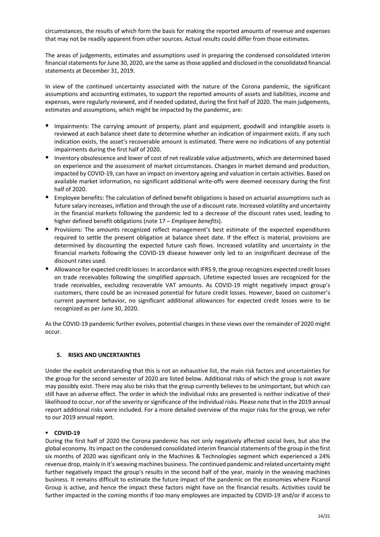circumstances, the results of which form the basis for making the reported amounts of revenue and expenses that may not be readily apparent from other sources. Actual results could differ from those estimates.

The areas of judgements, estimates and assumptions used in preparing the condensed consolidated interim financial statementsfor June 30, 2020, are the same as those applied and disclosed in the consolidated financial statements at December 31, 2019.

In view of the continued uncertainty associated with the nature of the Corona pandemic, the significant assumptions and accounting estimates, to support the reported amounts of assets and liabilities, income and expenses, were regularly reviewed, and if needed updated, during the first half of 2020. The main judgements, estimates and assumptions, which might be impacted by the pandemic, are:

- Impairments: The carrying amount of property, plant and equipment, goodwill and intangible assets is reviewed at each balance sheet date to determine whether an indication of impairment exists. If any such indication exists, the asset's recoverable amount is estimated. There were no indications of any potential impairments during the first half of 2020.
- Inventory obsolescence and lower of cost of net realizable value adjustments, which are determined based on experience and the assessment of market circumstances. Changes in market demand and production, impacted by COVID-19, can have an impact on inventory ageing and valuation in certain activities. Based on available market information, no significant additional write-offs were deemed necessary during the first half of 2020.
- Employee benefits: The calculation of defined benefit obligations is based on actuarial assumptions such as future salary increases, inflation and through the use of a discount rate. Increased volatility and uncertainty in the financial markets following the pandemic led to a decrease of the discount rates used, leading to higher defined benefit obligations (note 17 – *Employee benefits*).
- Provisions: The amounts recognized reflect management's best estimate of the expected expenditures required to settle the present obligation at balance sheet date. If the effect is material, provisions are determined by discounting the expected future cash flows. Increased volatility and uncertainty in the financial markets following the COVID-19 disease however only led to an insignificant decrease of the discount rates used.
- Allowance for expected credit losses: In accordance with IFRS 9, the group recognizes expected credit losses on trade receivables following the simplified approach. Lifetime expected losses are recognized for the trade receivables, excluding recoverable VAT amounts. As COVID-19 might negatively impact group's customers, there could be an increased potential for future credit losses. However, based on customer's current payment behavior, no significant additional allowances for expected credit losses were to be recognized as per June 30, 2020.

As the COVID-19 pandemic further evolves, potential changes in these views over the remainder of 2020 might occur.

## <span id="page-13-0"></span>**5. RISKS AND UNCERTAINTIES**

Under the explicit understanding that this is not an exhaustive list, the main risk factors and uncertainties for the group for the second semester of 2020 are listed below. Additional risks of which the group is not aware may possibly exist. There may also be risks that the group currently believes to be unimportant, but which can still have an adverse effect. The order in which the individual risks are presented is neither indicative of their likelihood to occur, nor of the severity or significance of the individual risks. Please note that in the 2019 annual report additional risks were included. For a more detailed overview of the major risks for the group, we refer to our 2019 annual report.

## ▪ **COVID-19**

During the first half of 2020 the Corona pandemic has not only negatively affected social lives, but also the global economy. Its impact on the condensed consolidated interim financial statements of the group in the first six months of 2020 was significant only in the Machines & Technologies segment which experienced a 24% revenue drop, mainly in it's weaving machines business. The continued pandemic and related uncertainty might further negatively impact the group's results in the second half of the year, mainly in the weaving machines business. It remains difficult to estimate the future impact of the pandemic on the economies where Picanol Group is active, and hence the impact these factors might have on the financial results. Activities could be further impacted in the coming months if too many employees are impacted by COVID-19 and/or if access to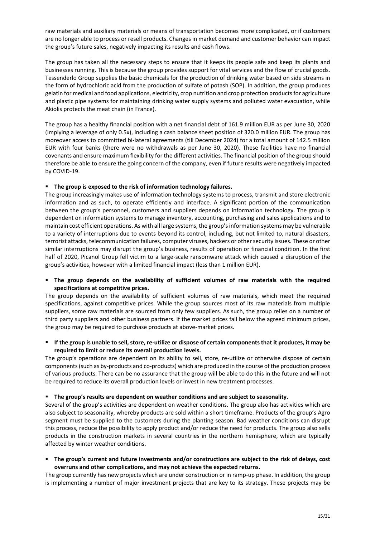raw materials and auxiliary materials or means of transportation becomes more complicated, or if customers are no longer able to process or resell products. Changes in market demand and customer behavior can impact the group's future sales, negatively impacting its results and cash flows.

The group has taken all the necessary steps to ensure that it keeps its people safe and keep its plants and businesses running. This is because the group provides support for vital services and the flow of crucial goods. Tessenderlo Group supplies the basic chemicals for the production of drinking water based on side streams in the form of hydrochloric acid from the production of sulfate of potash (SOP). In addition, the group produces gelatin for medical and food applications, electricity, crop nutrition and crop protection products for agriculture and plastic pipe systems for maintaining drinking water supply systems and polluted water evacuation, while Akiolis protects the meat chain (in France).

The group has a healthy financial position with a net financial debt of 161.9 million EUR as per June 30, 2020 (implying a leverage of only 0.5x), including a cash balance sheet position of 320.0 million EUR. The group has moreover access to committed bi-lateral agreements (till December 2024) for a total amount of 142.5 million EUR with four banks (there were no withdrawals as per June 30, 2020). These facilities have no financial covenants and ensure maximum flexibility for the different activities. The financial position of the group should therefore be able to ensure the going concern of the company, even if future results were negatively impacted by COVID-19.

## ▪ **The group is exposed to the risk of information technology failures.**

The group increasingly makes use of information technology systems to process, transmit and store electronic information and as such, to operate efficiently and interface. A significant portion of the communication between the group's personnel, customers and suppliers depends on information technology. The group is dependent on information systems to manage inventory, accounting, purchasing and sales applications and to maintain cost efficient operations. As with all large systems, the group's information systems may be vulnerable to a variety of interruptions due to events beyond its control, including, but not limited to, natural disasters, terrorist attacks, telecommunication failures, computer viruses, hackers or other security issues. These or other similar interruptions may disrupt the group's business, results of operation or financial condition. In the first half of 2020, Picanol Group fell victim to a large-scale ransomware attack which caused a disruption of the group's activities, however with a limited financial impact (less than 1 million EUR).

## ▪ **The group depends on the availability of sufficient volumes of raw materials with the required specifications at competitive prices.**

The group depends on the availability of sufficient volumes of raw materials, which meet the required specifications, against competitive prices. While the group sources most of its raw materials from multiple suppliers, some raw materials are sourced from only few suppliers. As such, the group relies on a number of third party suppliers and other business partners. If the market prices fall below the agreed minimum prices, the group may be required to purchase products at above-market prices.

## ▪ **If the group is unable to sell, store, re-utilize or dispose of certain components that it produces, it may be required to limit or reduce its overall production levels.**

The group's operations are dependent on its ability to sell, store, re-utilize or otherwise dispose of certain components (such as by-products and co-products) which are produced in the course of the production process of various products. There can be no assurance that the group will be able to do this in the future and will not be required to reduce its overall production levels or invest in new treatment processes.

## ▪ **The group's results are dependent on weather conditions and are subject to seasonality.**

Several of the group's activities are dependent on weather conditions. The group also has activities which are also subject to seasonality, whereby products are sold within a short timeframe. Products of the group's Agro segment must be supplied to the customers during the planting season. Bad weather conditions can disrupt this process, reduce the possibility to apply product and/or reduce the need for products. The group also sells products in the construction markets in several countries in the northern hemisphere, which are typically affected by winter weather conditions.

▪ **The group's current and future investments and/or constructions are subject to the risk of delays, cost overruns and other complications, and may not achieve the expected returns.** 

The group currently has new projects which are under construction or in ramp-up phase. In addition, the group is implementing a number of major investment projects that are key to its strategy. These projects may be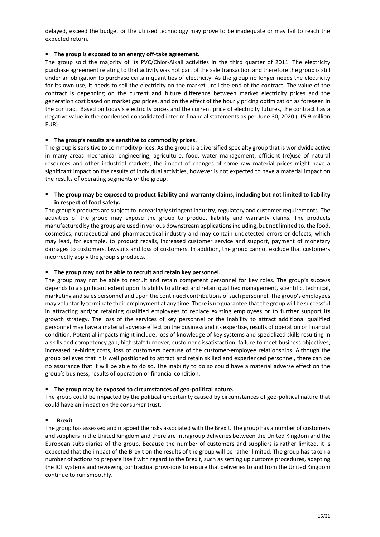delayed, exceed the budget or the utilized technology may prove to be inadequate or may fail to reach the expected return.

## ▪ **The group is exposed to an energy off-take agreement.**

The group sold the majority of its PVC/Chlor-Alkali activities in the third quarter of 2011. The electricity purchase agreement relating to that activity was not part of the sale transaction and therefore the group is still under an obligation to purchase certain quantities of electricity. As the group no longer needs the electricity for its own use, it needs to sell the electricity on the market until the end of the contract. The value of the contract is depending on the current and future difference between market electricity prices and the generation cost based on market gas prices, and on the effect of the hourly pricing optimization as foreseen in the contract. Based on today's electricity prices and the current price of electricity futures, the contract has a negative value in the condensed consolidated interim financial statements as per June 30, 2020 (-15.9 million EUR).

## ▪ **The group's results are sensitive to commodity prices.**

The group is sensitive to commodity prices. As the group is a diversified specialty group that is worldwide active in many areas mechanical engineering, agriculture, food, water management, efficient (re)use of natural resources and other industrial markets, the impact of changes of some raw material prices might have a significant impact on the results of individual activities, however is not expected to have a material impact on the results of operating segments or the group.

## ▪ **The group may be exposed to product liability and warranty claims, including but not limited to liability in respect of food safety.**

The group's products are subject to increasingly stringent industry, regulatory and customer requirements. The activities of the group may expose the group to product liability and warranty claims. The products manufactured by the group are used in various downstream applications including, but not limited to, the food, cosmetics, nutraceutical and pharmaceutical industry and may contain undetected errors or defects, which may lead, for example, to product recalls, increased customer service and support, payment of monetary damages to customers, lawsuits and loss of customers. In addition, the group cannot exclude that customers incorrectly apply the group's products.

## ▪ **The group may not be able to recruit and retain key personnel.**

The group may not be able to recruit and retain competent personnel for key roles. The group's success depends to a significant extent upon its ability to attract and retain qualified management, scientific, technical, marketing and sales personnel and upon the continued contributions of such personnel. The group's employees may voluntarily terminate their employment at any time. There is no guarantee that the group will be successful in attracting and/or retaining qualified employees to replace existing employees or to further support its growth strategy. The loss of the services of key personnel or the inability to attract additional qualified personnel may have a material adverse effect on the business and its expertise, results of operation or financial condition. Potential impacts might include: loss of knowledge of key systems and specialized skills resulting in a skills and competency gap, high staff turnover, customer dissatisfaction, failure to meet business objectives, increased re-hiring costs, loss of customers because of the customer-employee relationships. Although the group believes that it is well positioned to attract and retain skilled and experienced personnel, there can be no assurance that it will be able to do so. The inability to do so could have a material adverse effect on the group's business, results of operation or financial condition.

## ▪ **The group may be exposed to circumstances of geo-political nature.**

The group could be impacted by the political uncertainty caused by circumstances of geo-political nature that could have an impact on the consumer trust.

## ▪ **Brexit**

The group has assessed and mapped the risks associated with the Brexit. The group has a number of customers and suppliers in the United Kingdom and there are intragroup deliveries between the United Kingdom and the European subsidiaries of the group. Because the number of customers and suppliers is rather limited, it is expected that the impact of the Brexit on the results of the group will be rather limited. The group has taken a number of actions to prepare itself with regard to the Brexit, such as setting up customs procedures, adapting the ICT systems and reviewing contractual provisions to ensure that deliveries to and from the United Kingdom continue to run smoothly.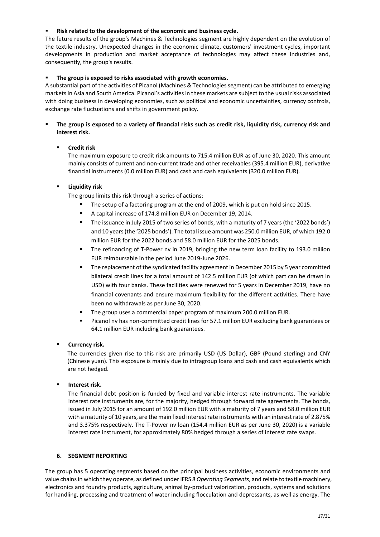## Risk related to the development of the economic and business cycle.

The future results of the group's Machines & Technologies segment are highly dependent on the evolution of the textile industry. Unexpected changes in the economic climate, customers' investment cycles, important developments in production and market acceptance of technologies may affect these industries and, consequently, the group's results.

## The group is exposed to risks associated with growth economies.

A substantial part of the activities of Picanol (Machines & Technologies segment) can be attributed to emerging markets in Asia and South America. Picanol's activities in these markets are subject to the usual risks associated with doing business in developing economies, such as political and economic uncertainties, currency controls, exchange rate fluctuations and shifts in government policy.

## The group is exposed to a variety of financial risks such as credit risk, liquidity risk, currency risk and **interest risk.**

## ▪ **Credit risk**

The maximum exposure to credit risk amounts to 715.4 million EUR as of June 30, 2020. This amount mainly consists of current and non-current trade and other receivables (395.4 million EUR), derivative financial instruments (0.0 million EUR) and cash and cash equivalents (320.0 million EUR).

## ▪ **Liquidity risk**

The group limits this risk through a series of actions:

- The setup of a factoring program at the end of 2009, which is put on hold since 2015.
- A capital increase of 174.8 million EUR on December 19, 2014.
- The issuance in July 2015 of two series of bonds, with a maturity of 7 years (the '2022 bonds') and 10 years (the '2025 bonds'). The total issue amount was 250.0 million EUR, of which 192.0 million EUR for the 2022 bonds and 58.0 million EUR for the 2025 bonds.
- The refinancing of T-Power nv in 2019, bringing the new term loan facility to 193.0 million EUR reimbursable in the period June 2019-June 2026.
- **■** The replacement of the syndicated facility agreement in December 2015 by 5 year committed bilateral credit lines for a total amount of 142.5 million EUR (of which part can be drawn in USD) with four banks. These facilities were renewed for 5 years in December 2019, have no financial covenants and ensure maximum flexibility for the different activities. There have been no withdrawals as per June 30, 2020.
- The group uses a commercial paper program of maximum 200.0 million EUR.
- Picanol nv has non-committed credit lines for 57.1 million EUR excluding bank guarantees or 64.1 million EUR including bank guarantees.

## ▪ **Currency risk.**

The currencies given rise to this risk are primarily USD (US Dollar), GBP (Pound sterling) and CNY (Chinese yuan). This exposure is mainly due to intragroup loans and cash and cash equivalents which are not hedged.

## **Interest risk.**

The financial debt position is funded by fixed and variable interest rate instruments. The variable interest rate instruments are, for the majority, hedged through forward rate agreements. The bonds, issued in July 2015 for an amount of 192.0 million EUR with a maturity of 7 years and 58.0 million EUR with a maturity of 10 years, are the main fixed interest rate instruments with an interest rate of 2.875% and 3.375% respectively. The T-Power nv loan (154.4 million EUR as per June 30, 2020) is a variable interest rate instrument, for approximately 80% hedged through a series of interest rate swaps.

## <span id="page-16-0"></span>**6. SEGMENT REPORTING**

The group has 5 operating segments based on the principal business activities, economic environments and value chains in which they operate, as defined under IFRS 8 *Operating Segments*, and relate to textile machinery, electronics and foundry products, agriculture, animal by-product valorization, products, systems and solutions for handling, processing and treatment of water including flocculation and depressants, as well as energy. The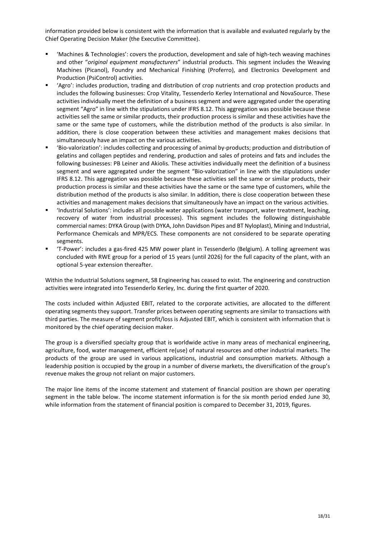information provided below is consistent with the information that is available and evaluated regularly by the Chief Operating Decision Maker (the Executive Committee).

- 'Machines & Technologies': covers the production, development and sale of high-tech weaving machines and other "*original equipment manufacturers*" industrial products. This segment includes the Weaving Machines (Picanol), Foundry and Mechanical Finishing (Proferro), and Electronics Development and Production (PsiControl) activities.
- 'Agro': includes production, trading and distribution of crop nutrients and crop protection products and includes the following businesses: Crop Vitality, Tessenderlo Kerley International and NovaSource. These activities individually meet the definition of a business segment and were aggregated under the operating segment "Agro" in line with the stipulations under IFRS 8.12. This aggregation was possible because these activities sell the same or similar products, their production process is similar and these activities have the same or the same type of customers, while the distribution method of the products is also similar. In addition, there is close cooperation between these activities and management makes decisions that simultaneously have an impact on the various activities.
- 'Bio-valorization': includes collecting and processing of animal by-products; production and distribution of gelatins and collagen peptides and rendering, production and sales of proteins and fats and includes the following businesses: PB Leiner and Akiolis. These activities individually meet the definition of a business segment and were aggregated under the segment "Bio-valorization" in line with the stipulations under IFRS 8.12. This aggregation was possible because these activities sell the same or similar products, their production process is similar and these activities have the same or the same type of customers, while the distribution method of the products is also similar. In addition, there is close cooperation between these activities and management makes decisions that simultaneously have an impact on the various activities.
- 'Industrial Solutions': includes all possible water applications (water transport, water treatment, leaching, recovery of water from industrial processes). This segment includes the following distinguishable commercial names: DYKA Group (with DYKA, John Davidson Pipes and BT Nyloplast), Mining and Industrial, Performance Chemicals and MPR/ECS. These components are not considered to be separate operating segments.
- 'T-Power': includes a gas-fired 425 MW power plant in Tessenderlo (Belgium). A tolling agreement was concluded with RWE group for a period of 15 years (until 2026) for the full capacity of the plant, with an optional 5-year extension thereafter.

Within the Industrial Solutions segment, S8 Engineering has ceased to exist. The engineering and construction activities were integrated into Tessenderlo Kerley, Inc. during the first quarter of 2020.

The costs included within Adjusted EBIT, related to the corporate activities, are allocated to the different operating segments they support. Transfer prices between operating segments are similar to transactions with third parties. The measure of segment profit/loss is Adjusted EBIT, which is consistent with information that is monitored by the chief operating decision maker.

The group is a diversified specialty group that is worldwide active in many areas of mechanical engineering, agriculture, food, water management, efficient re(use) of natural resources and other industrial markets. The products of the group are used in various applications, industrial and consumption markets. Although a leadership position is occupied by the group in a number of diverse markets, the diversification of the group's revenue makes the group not reliant on major customers.

The major line items of the income statement and statement of financial position are shown per operating segment in the table below. The income statement information is for the six month period ended June 30, while information from the statement of financial position is compared to December 31, 2019, figures.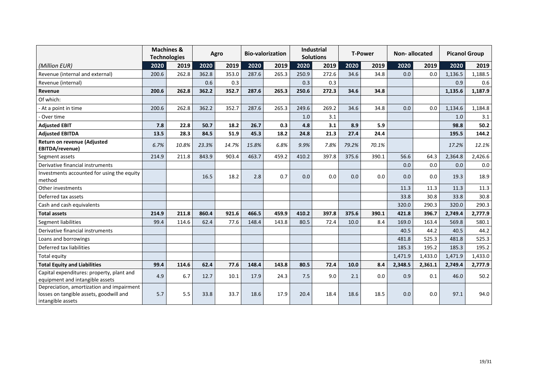|                                                                                                           |       | <b>Machines &amp;</b><br><b>Technologies</b> |       | Agro  |       | <b>Bio-valorization</b> |       | <b>Industrial</b><br><b>Solutions</b> |       | <b>T-Power</b> | <b>Non-allocated</b> |         | <b>Picanol Group</b> |         |
|-----------------------------------------------------------------------------------------------------------|-------|----------------------------------------------|-------|-------|-------|-------------------------|-------|---------------------------------------|-------|----------------|----------------------|---------|----------------------|---------|
| (Million EUR)                                                                                             | 2020  | 2019                                         | 2020  | 2019  | 2020  | 2019                    | 2020  | 2019                                  | 2020  | 2019           | 2020                 | 2019    | 2020                 | 2019    |
| Revenue (internal and external)                                                                           | 200.6 | 262.8                                        | 362.8 | 353.0 | 287.6 | 265.3                   | 250.9 | 272.6                                 | 34.6  | 34.8           | 0.0                  | 0.0     | 1,136.5              | 1,188.5 |
| Revenue (internal)                                                                                        |       |                                              | 0.6   | 0.3   |       |                         | 0.3   | 0.3                                   |       |                |                      |         | 0.9                  | 0.6     |
| Revenue                                                                                                   | 200.6 | 262.8                                        | 362.2 | 352.7 | 287.6 | 265.3                   | 250.6 | 272.3                                 | 34.6  | 34.8           |                      |         | 1,135.6              | 1,187.9 |
| Of which:                                                                                                 |       |                                              |       |       |       |                         |       |                                       |       |                |                      |         |                      |         |
| - At a point in time                                                                                      | 200.6 | 262.8                                        | 362.2 | 352.7 | 287.6 | 265.3                   | 249.6 | 269.2                                 | 34.6  | 34.8           | 0.0                  | 0.0     | 1,134.6              | 1,184.8 |
| - Over time                                                                                               |       |                                              |       |       |       |                         | 1.0   | 3.1                                   |       |                |                      |         | 1.0                  | 3.1     |
| <b>Adjusted EBIT</b>                                                                                      | 7.8   | 22.8                                         | 50.7  | 18.2  | 26.7  | 0.3                     | 4.8   | 3.1                                   | 8.9   | 5.9            |                      |         | 98.8                 | 50.2    |
| <b>Adjusted EBITDA</b>                                                                                    | 13.5  | 28.3                                         | 84.5  | 51.9  | 45.3  | 18.2                    | 24.8  | 21.3                                  | 27.4  | 24.4           |                      |         | 195.5                | 144.2   |
| Return on revenue (Adjusted<br>EBITDA/revenue)                                                            | 6.7%  | 10.8%                                        | 23.3% | 14.7% | 15.8% | 6.8%                    | 9.9%  | 7.8%                                  | 79.2% | 70.1%          |                      |         | 17.2%                | 12.1%   |
| Segment assets                                                                                            | 214.9 | 211.8                                        | 843.9 | 903.4 | 463.7 | 459.2                   | 410.2 | 397.8                                 | 375.6 | 390.1          | 56.6                 | 64.3    | 2,364.8              | 2,426.6 |
| Derivative financial instruments                                                                          |       |                                              |       |       |       |                         |       |                                       |       |                | 0.0                  | 0.0     | 0.0                  | 0.0     |
| Investments accounted for using the equity<br>method                                                      |       |                                              | 16.5  | 18.2  | 2.8   | 0.7                     | 0.0   | 0.0                                   | 0.0   | 0.0            | 0.0                  | 0.0     | 19.3                 | 18.9    |
| Other investments                                                                                         |       |                                              |       |       |       |                         |       |                                       |       |                | 11.3                 | 11.3    | 11.3                 | 11.3    |
| Deferred tax assets                                                                                       |       |                                              |       |       |       |                         |       |                                       |       |                | 33.8                 | 30.8    | 33.8                 | 30.8    |
| Cash and cash equivalents                                                                                 |       |                                              |       |       |       |                         |       |                                       |       |                | 320.0                | 290.3   | 320.0                | 290.3   |
| <b>Total assets</b>                                                                                       | 214.9 | 211.8                                        | 860.4 | 921.6 | 466.5 | 459.9                   | 410.2 | 397.8                                 | 375.6 | 390.1          | 421.8                | 396.7   | 2,749.4              | 2,777.9 |
| <b>Segment liabilities</b>                                                                                | 99.4  | 114.6                                        | 62.4  | 77.6  | 148.4 | 143.8                   | 80.5  | 72.4                                  | 10.0  | 8.4            | 169.0                | 163.4   | 569.8                | 580.1   |
| Derivative financial instruments                                                                          |       |                                              |       |       |       |                         |       |                                       |       |                | 40.5                 | 44.2    | 40.5                 | 44.2    |
| Loans and borrowings                                                                                      |       |                                              |       |       |       |                         |       |                                       |       |                | 481.8                | 525.3   | 481.8                | 525.3   |
| Deferred tax liabilities                                                                                  |       |                                              |       |       |       |                         |       |                                       |       |                | 185.3                | 195.2   | 185.3                | 195.2   |
| Total equity                                                                                              |       |                                              |       |       |       |                         |       |                                       |       |                | 1,471.9              | 1,433.0 | 1,471.9              | 1,433.0 |
| <b>Total Equity and Liabilities</b>                                                                       | 99.4  | 114.6                                        | 62.4  | 77.6  | 148.4 | 143.8                   | 80.5  | 72.4                                  | 10.0  | 8.4            | 2,348.5              | 2,361.1 | 2,749.4              | 2,777.9 |
| Capital expenditures: property, plant and<br>equipment and intangible assets                              | 4.9   | 6.7                                          | 12.7  | 10.1  | 17.9  | 24.3                    | 7.5   | 9.0                                   | 2.1   | 0.0            | 0.9                  | 0.1     | 46.0                 | 50.2    |
| Depreciation, amortization and impairment<br>losses on tangible assets, goodwill and<br>intangible assets | 5.7   | 5.5                                          | 33.8  | 33.7  | 18.6  | 17.9                    | 20.4  | 18.4                                  | 18.6  | 18.5           | 0.0                  | 0.0     | 97.1                 | 94.0    |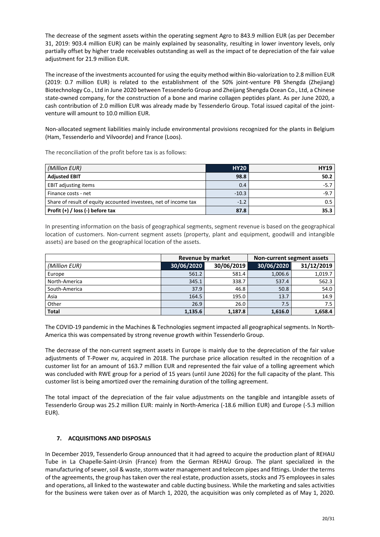The decrease of the segment assets within the operating segment Agro to 843.9 million EUR (as per December 31, 2019: 903.4 million EUR) can be mainly explained by seasonality, resulting in lower inventory levels, only partially offset by higher trade receivables outstanding as well as the impact of te depreciation of the fair value adjustment for 21.9 million EUR.

The increase of the investments accounted for using the equity method within Bio-valorization to 2.8 million EUR (2019: 0.7 million EUR) is related to the establishment of the 50% joint-venture PB Shengda (Zhejiang) Biotechnology Co., Ltd in June 2020 between Tessenderlo Group and Zheijang Shengda Ocean Co., Ltd, a Chinese state-owned company, for the construction of a bone and marine collagen peptides plant. As per June 2020, a cash contribution of 2.0 million EUR was already made by Tessenderlo Group. Total issued capital of the jointventure will amount to 10.0 million EUR.

Non-allocated segment liabilities mainly include environmental provisions recognized for the plants in Belgium (Ham, Tessenderlo and Vilvoorde) and France (Loos).

The reconciliation of the profit before tax is as follows:

| (Million EUR)                                                    | <b>HY20</b> | <b>HY19</b> |
|------------------------------------------------------------------|-------------|-------------|
| <b>Adjusted EBIT</b>                                             | 98.8        | 50.2        |
| <b>EBIT adjusting items</b>                                      | 0.4         | $-5.7$      |
| Finance costs - net                                              | $-10.3$     | $-9.7$      |
| Share of result of equity accounted investees, net of income tax | $-1.2$      | 0.5         |
| Profit $(+)$ / loss $(-)$ before tax                             | 87.8        | 35.3        |

In presenting information on the basis of geographical segments, segment revenue is based on the geographical location of customers. Non-current segment assets (property, plant and equipment, goodwill and intangible assets) are based on the geographical location of the assets.

|               | Revenue by market |            | Non-current segment assets |            |  |
|---------------|-------------------|------------|----------------------------|------------|--|
| (Million EUR) | 30/06/2020        | 30/06/2019 | 30/06/2020                 | 31/12/2019 |  |
| Europe        | 561.2             | 581.4      | 1,006.6                    | 1,019.7    |  |
| North-America | 345.1             | 338.7      | 537.4                      | 562.3      |  |
| South-America | 37.9              | 46.8       | 50.8                       | 54.0       |  |
| Asia          | 164.5             | 195.0      | 13.7                       | 14.9       |  |
| Other         | 26.9              | 26.0       | 7.5                        | 7.5        |  |
| <b>Total</b>  | 1,135.6           | 1.187.8    | 1,616.0                    | 1,658.4    |  |

The COVID-19 pandemic in the Machines & Technologies segment impacted all geographical segments. In North-America this was compensated by strong revenue growth within Tessenderlo Group.

The decrease of the non-current segment assets in Europe is mainly due to the depreciation of the fair value adjustments of T-Power nv, acquired in 2018. The purchase price allocation resulted in the recognition of a customer list for an amount of 163.7 million EUR and represented the fair value of a tolling agreement which was concluded with RWE group for a period of 15 years (until June 2026) for the full capacity of the plant. This customer list is being amortized over the remaining duration of the tolling agreement.

The total impact of the depreciation of the fair value adjustments on the tangible and intangible assets of Tessenderlo Group was 25.2 million EUR: mainly in North-America (-18.6 million EUR) and Europe (-5.3 million EUR).

## <span id="page-19-0"></span>**7. ACQUISITIONS AND DISPOSALS**

In December 2019, Tessenderlo Group announced that it had agreed to acquire the production plant of REHAU Tube in La Chapelle-Saint-Ursin (France) from the German REHAU Group. The plant specialized in the manufacturing of sewer, soil & waste, storm water management and telecom pipes and fittings. Under the terms of the agreements, the group has taken over the real estate, production assets, stocks and 75 employees in sales and operations, all linked to the wastewater and cable ducting business. While the marketing and sales activities for the business were taken over as of March 1, 2020, the acquisition was only completed as of May 1, 2020.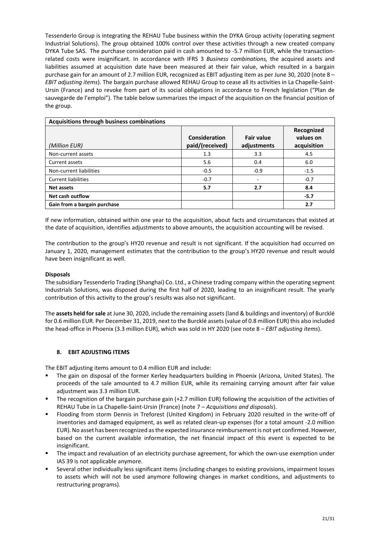Tessenderlo Group is integrating the REHAU Tube business within the DYKA Group activity (operating segment Industrial Solutions). The group obtained 100% control over these activities through a new created company DYKA Tube SAS. The purchase consideration paid in cash amounted to -5.7 million EUR, while the transactionrelated costs were insignificant. In accordance with IFRS 3 *Business combinations,* the acquired assets and liabilities assumed at acquisition date have been measured at their fair value, which resulted in a bargain purchase gain for an amount of 2.7 million EUR, recognized as EBIT adjusting item as per June 30, 2020 (note 8 – *EBIT adjusting items*). The bargain purchase allowed REHAU Group to cease all its activities in La Chapelle-Saint-Ursin (France) and to revoke from part of its social obligations in accordance to French legislation ("Plan de sauvegarde de l'emploi"). The table below summarizes the impact of the acquisition on the financial position of the group.

| <b>Acquisitions through business combinations</b> |                                  |                                  |                                        |  |  |  |  |
|---------------------------------------------------|----------------------------------|----------------------------------|----------------------------------------|--|--|--|--|
| (Million EUR)                                     | Consideration<br>paid/(received) | <b>Fair value</b><br>adjustments | Recognized<br>values on<br>acquisition |  |  |  |  |
| Non-current assets                                | 1.3                              | 3.3                              | 4.5                                    |  |  |  |  |
| Current assets                                    | 5.6                              | 0.4                              | 6.0                                    |  |  |  |  |
| Non-current liabilities                           | $-0.5$                           | $-0.9$                           | $-1.5$                                 |  |  |  |  |
| <b>Current liabilities</b>                        | $-0.7$                           |                                  | $-0.7$                                 |  |  |  |  |
| Net assets                                        | 5.7                              | 2.7                              | 8.4                                    |  |  |  |  |
| Net cash outflow                                  |                                  |                                  | $-5.7$                                 |  |  |  |  |
| Gain from a bargain purchase                      |                                  |                                  | 2.7                                    |  |  |  |  |

If new information, obtained within one year to the acquisition, about facts and circumstances that existed at the date of acquisition, identifies adjustments to above amounts, the acquisition accounting will be revised.

The contribution to the group's HY20 revenue and result is not significant. If the acquisition had occurred on January 1, 2020, management estimates that the contribution to the group's HY20 revenue and result would have been insignificant as well.

## **Disposals**

The subsidiary Tessenderlo Trading (Shanghai) Co. Ltd., a Chinese trading company within the operating segment Industrials Solutions, was disposed during the first half of 2020, leading to an insignificant result. The yearly contribution of this activity to the group's results was also not significant.

The **assets held for sale** at June 30, 2020, include the remaining assets (land & buildings and inventory) of Burcklé for 0.6 million EUR. Per December 31, 2019, next to the Burcklé assets (value of 0.8 million EUR) this also included the head-office in Phoenix (3.3 million EUR), which was sold in HY 2020 (see note 8 – *EBIT adjusting items*).

## <span id="page-20-0"></span>**8. EBIT ADJUSTING ITEMS**

The EBIT adjusting items amount to 0.4 million EUR and include:

- The gain on disposal of the former Kerley headquarters building in Phoenix (Arizona, United States). The proceeds of the sale amounted to 4.7 million EUR, while its remaining carrying amount after fair value adjustment was 3.3 million EUR.
- The recognition of the bargain purchase gain  $(+2.7$  million EUR) following the acquisition of the activities of REHAU Tube in La Chapelle-Saint-Ursin (France) (note 7 – *Acquisitions and disposals*).
- Flooding from storm Dennis in Treforest (United Kingdom) in February 2020 resulted in the write-off of inventories and damaged equipment, as well as related clean-up expenses (for a total amount -2.0 million EUR). No asset has been recognized as the expected insurance reimbursement is not yet confirmed. However, based on the current available information, the net financial impact of this event is expected to be insignificant.
- The impact and revaluation of an electricity purchase agreement, for which the own-use exemption under IAS 39 is not applicable anymore.
- Several other individually less significant items (including changes to existing provisions, impairment losses to assets which will not be used anymore following changes in market conditions, and adjustments to restructuring programs).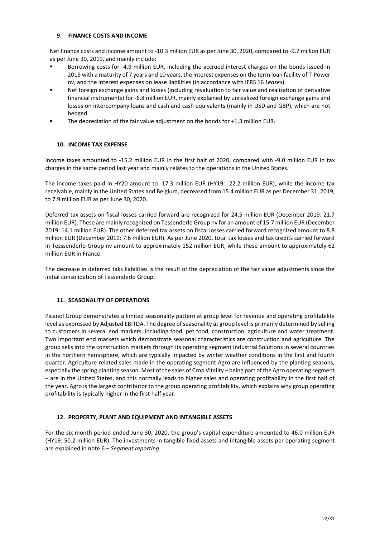## <span id="page-21-0"></span>**9. FINANCE COSTS AND INCOME**

Net finance costs and income amount to -10.3 million EUR as per June 30, 2020, compared to -9.7 million EUR as per June 30, 2019, and mainly include:

- Borrowing costs for -4.9 million EUR, including the accrued interest charges on the bonds issued in 2015 with a maturity of 7 years and 10 years, the interest expenses on the term loan facility of T-Power nv, and the interest expenses on lease liabilities (in accordance with IFRS 16 *Leases*).
- Net foreign exchange gains and losses (including revaluation to fair value and realization of derivative financial instruments) for -6.8 million EUR, mainly explained by unrealized foreign exchange gains and losses on intercompany loans and cash and cash equivalents (mainly in USD and GBP), which are not hedged.
- The depreciation of the fair value adjustment on the bonds for +1.3 million EUR.

# <span id="page-21-1"></span>**10. INCOME TAX EXPENSE**

Income taxes amounted to -15.2 million EUR in the first half of 2020, compared with -9.0 million EUR in tax charges in the same period last year and mainly relates to the operations in the United States.

The income taxes paid in HY20 amount to -17.3 million EUR (HY19: -22.2 million EUR), while the income tax receivable, mainly in the United States and Belgium, decreased from 15.4 million EUR as per December 31, 2019, to 7.9 million EUR as per June 30, 2020.

Deferred tax assets on fiscal losses carried forward are recognized for 24.5 million EUR (December 2019: 21.7 million EUR). These are mainly recognized on Tessenderlo Group nv for an amount of 15.7 million EUR (December 2019: 14.1 million EUR). The other deferred tax assets on fiscal losses carried forward recognized amount to 8.8 million EUR (December 2019: 7.6 million EUR). As per June 2020, total tax losses and tax credits carried forward in Tesssenderlo Group nv amount to approximately 152 million EUR, while these amount to approximately 62 million EUR in France.

The decrease in deferred taks liabilities is the result of the depreciation of the fair value adjustments since the initial consolidation of Tessenderlo Group.

## <span id="page-21-2"></span>**11. SEASONALITY OF OPERATIONS**

Picanol Group demonstrates a limited seasonality pattern at group level for revenue and operating profitability level as expressed by Adjusted EBITDA. The degree of seasonality at group level is primarily determined by selling to customers in several end markets, including food, pet food, construction, agriculture and water treatment. Two important end markets which demonstrate seasonal characteristics are construction and agriculture. The group sells into the construction markets through its operating segment Industrial Solutions in several countries in the northern hemisphere, which are typically impacted by winter weather conditions in the first and fourth quarter. Agriculture related sales made in the operating segment Agro are influenced by the planting seasons, especially the spring planting season. Most of the sales of Crop Vitality – being part of the Agro operating segment – are in the United States, and this normally leads to higher sales and operating profitability in the first half of the year. Agro is the largest contributor to the group operating profitability, which explains why group operating profitability is typically higher in the first half year.

## <span id="page-21-3"></span>**12. PROPERTY, PLANT AND EQUIPMENT AND INTANGIBLE ASSETS**

For the six month period ended June 30, 2020, the group's capital expenditure amounted to 46.0 million EUR (HY19: 50.2 million EUR). The investments in tangible fixed assets and intangible assets per operating segment are explained in note 6 – *Segment reporting*.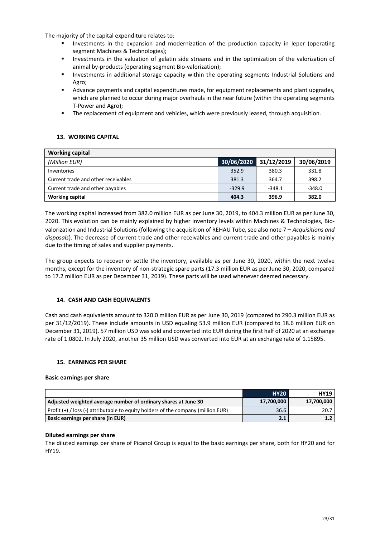The majority of the capital expenditure relates to:

- Investments in the expansion and modernization of the production capacity in Ieper (operating segment Machines & Technologies);
- Investments in the valuation of gelatin side streams and in the optimization of the valorization of animal by-products (operating segment Bio-valorization);
- Investments in additional storage capacity within the operating segments Industrial Solutions and Agro;
- Advance payments and capital expenditures made, for equipment replacements and plant upgrades, which are planned to occur during major overhauls in the near future (within the operating segments T-Power and Agro);
- The replacement of equipment and vehicles, which were previously leased, through acquisition.

## <span id="page-22-0"></span>**13. WORKING CAPITAL**

| <b>Working capital</b>              |            |            |            |
|-------------------------------------|------------|------------|------------|
| (Million EUR)                       | 30/06/2020 | 31/12/2019 | 30/06/2019 |
| Inventories                         | 352.9      | 380.3      | 331.8      |
| Current trade and other receivables | 381.3      | 364.7      | 398.2      |
| Current trade and other payables    | $-329.9$   | $-348.1$   | $-348.0$   |
| <b>Working capital</b>              | 404.3      | 396.9      | 382.0      |

The working capital increased from 382.0 million EUR as per June 30, 2019, to 404.3 million EUR as per June 30, 2020. This evolution can be mainly explained by higher inventory levels within Machines & Technologies, Biovalorization and Industrial Solutions (following the acquisition of REHAU Tube, see also note 7 – *Acquisitions and disposals*). The decrease of current trade and other receivables and current trade and other payables is mainly due to the timing of sales and supplier payments.

The group expects to recover or settle the inventory, available as per June 30, 2020, within the next twelve months, except for the inventory of non-strategic spare parts (17.3 million EUR as per June 30, 2020, compared to 17.2 million EUR as per December 31, 2019). These parts will be used whenever deemed necessary.

## <span id="page-22-1"></span>**14. CASH AND CASH EQUIVALENTS**

Cash and cash equivalents amount to 320.0 million EUR as per June 30, 2019 (compared to 290.3 million EUR as per 31/12/2019). These include amounts in USD equaling 53.9 million EUR (compared to 18.6 million EUR on December 31, 2019). 57 million USD was sold and converted into EUR during the first half of 2020 at an exchange rate of 1.0802. In July 2020, another 35 million USD was converted into EUR at an exchange rate of 1.15895.

## <span id="page-22-2"></span>**15. EARNINGS PER SHARE**

## **Basic earnings per share**

|                                                                                       | <b>HY20</b> | <b>HY19</b> |
|---------------------------------------------------------------------------------------|-------------|-------------|
| Adjusted weighted average number of ordinary shares at June 30                        | 17,700,000  | 17,700,000  |
| Profit $(+)$ / loss $(-)$ attributable to equity holders of the company (million EUR) | 36.6        | 20.7        |
| Basic earnings per share (in EUR)                                                     | 2.1         | 1.7         |

## **Diluted earnings per share**

The diluted earnings per share of Picanol Group is equal to the basic earnings per share, both for HY20 and for HY19.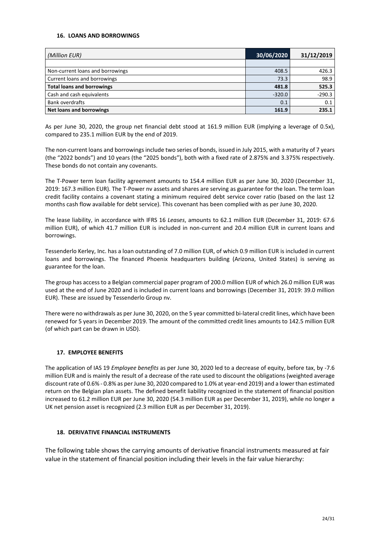## <span id="page-23-0"></span>**16. LOANS AND BORROWINGS**

| (Million EUR)                     | 30/06/2020 | 31/12/2019 |
|-----------------------------------|------------|------------|
|                                   |            |            |
| Non-current loans and borrowings  | 408.5      | 426.3      |
| Current loans and borrowings      | 73.3       | 98.9       |
| <b>Total loans and borrowings</b> | 481.8      | 525.3      |
| Cash and cash equivalents         | $-320.0$   | $-290.3$   |
| <b>Bank overdrafts</b>            | 0.1        | 0.1        |
| <b>Net loans and borrowings</b>   | 161.9      | 235.1      |

As per June 30, 2020, the group net financial debt stood at 161.9 million EUR (implying a leverage of 0.5x), compared to 235.1 million EUR by the end of 2019.

The non-current loans and borrowings include two series of bonds, issued in July 2015, with a maturity of 7 years (the "2022 bonds") and 10 years (the "2025 bonds"), both with a fixed rate of 2.875% and 3.375% respectively. These bonds do not contain any covenants.

The T-Power term loan facility agreement amounts to 154.4 million EUR as per June 30, 2020 (December 31, 2019: 167.3 million EUR). The T-Power nv assets and shares are serving as guarantee for the loan. The term loan credit facility contains a covenant stating a minimum required debt service cover ratio (based on the last 12 months cash flow available for debt service). This covenant has been complied with as per June 30, 2020.

The lease liability, in accordance with IFRS 16 *Leases*, amounts to 62.1 million EUR (December 31, 2019: 67.6 million EUR), of which 41.7 million EUR is included in non-current and 20.4 million EUR in current loans and borrowings.

Tessenderlo Kerley, Inc. has a loan outstanding of 7.0 million EUR, of which 0.9 million EUR is included in current loans and borrowings. The financed Phoenix headquarters building (Arizona, United States) is serving as guarantee for the loan.

The group has access to a Belgian commercial paper program of 200.0 million EUR of which 26.0 million EUR was used at the end of June 2020 and is included in current loans and borrowings (December 31, 2019: 39.0 million EUR). These are issued by Tessenderlo Group nv.

There were no withdrawals as per June 30, 2020, on the 5 year committed bi-lateral credit lines, which have been renewed for 5 years in December 2019. The amount of the committed credit lines amounts to 142.5 million EUR (of which part can be drawn in USD).

## <span id="page-23-1"></span>**17. EMPLOYEE BENEFITS**

The application of IAS 19 *Employee benefits* as per June 30, 2020 led to a decrease of equity, before tax, by -7.6 million EUR and is mainly the result of a decrease of the rate used to discount the obligations (weighted average discount rate of 0.6% - 0.8% as perJune 30, 2020 compared to 1.0% at year-end 2019) and a lower than estimated return on the Belgian plan assets. The defined benefit liability recognized in the statement of financial position increased to 61.2 million EUR per June 30, 2020 (54.3 million EUR as per December 31, 2019), while no longer a UK net pension asset is recognized (2.3 million EUR as per December 31, 2019).

## <span id="page-23-2"></span>**18. DERIVATIVE FINANCIAL INSTRUMENTS**

The following table shows the carrying amounts of derivative financial instruments measured at fair value in the statement of financial position including their levels in the fair value hierarchy: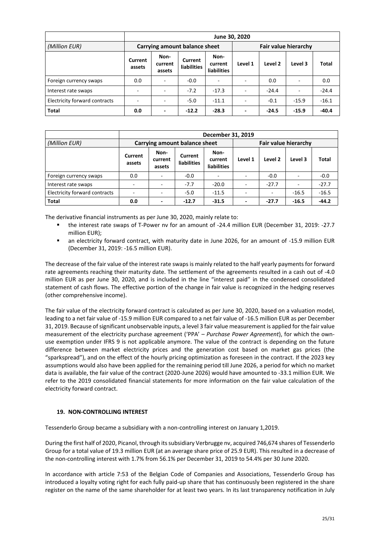|                               |                          | June 30, 2020             |                               |                                |                          |         |                          |         |  |
|-------------------------------|--------------------------|---------------------------|-------------------------------|--------------------------------|--------------------------|---------|--------------------------|---------|--|
| (Million EUR)                 |                          |                           | Carrying amount balance sheet |                                | Fair value hierarchy     |         |                          |         |  |
|                               | Current<br>assets        | Non-<br>current<br>assets | Current<br>liabilities        | Non-<br>current<br>liabilities | Level 1                  | Level 2 | Level 3                  | Total   |  |
| Foreign currency swaps        | 0.0                      | $\overline{\phantom{a}}$  | $-0.0$                        |                                |                          | 0.0     | $\overline{\phantom{a}}$ | 0.0     |  |
| Interest rate swaps           | $\overline{\phantom{0}}$ | $\overline{\phantom{a}}$  | $-7.2$                        | $-17.3$                        |                          | $-24.4$ | $\blacksquare$           | $-24.4$ |  |
| Electricity forward contracts | $\overline{\phantom{a}}$ | $\overline{\phantom{a}}$  | $-5.0$                        | $-11.1$                        | $\overline{\phantom{a}}$ | $-0.1$  | $-15.9$                  | $-16.1$ |  |
| Total                         | 0.0                      | ٠                         | $-12.2$                       | $-28.3$                        | $\overline{\phantom{0}}$ | $-24.5$ | $-15.9$                  | $-40.4$ |  |

|                               | December 31, 2019             |                           |                               |                                       |                             |         |         |         |
|-------------------------------|-------------------------------|---------------------------|-------------------------------|---------------------------------------|-----------------------------|---------|---------|---------|
| (Million EUR)                 | Carrying amount balance sheet |                           |                               |                                       | <b>Fair value hierarchy</b> |         |         |         |
|                               | Current<br>assets             | Non-<br>current<br>assets | Current<br><b>liabilities</b> | Non-<br>current<br><b>liabilities</b> | Level 1                     | Level 2 | Level 3 | Total   |
| Foreign currency swaps        | 0.0                           |                           | $-0.0$                        |                                       | $\overline{a}$              | $-0.0$  |         | $-0.0$  |
| Interest rate swaps           | $\overline{\phantom{a}}$      |                           | $-7.7$                        | $-20.0$                               |                             | $-27.7$ | ÷       | $-27.7$ |
| Electricity forward contracts | $\overline{\phantom{a}}$      |                           | $-5.0$                        | $-11.5$                               | $\overline{\phantom{a}}$    |         | $-16.5$ | $-16.5$ |
| <b>Total</b>                  | 0.0                           |                           | $-12.7$                       | $-31.5$                               | $\overline{\phantom{0}}$    | $-27.7$ | $-16.5$ | $-44.2$ |

The derivative financial instruments as per June 30, 2020, mainly relate to:

- the interest rate swaps of T-Power nv for an amount of -24.4 million EUR (December 31, 2019: -27.7 million EUR);
- an electricity forward contract, with maturity date in June 2026, for an amount of -15.9 million EUR (December 31, 2019: -16.5 million EUR).

The decrease of the fair value of the interest rate swaps is mainly related to the half yearly payments for forward rate agreements reaching their maturity date. The settlement of the agreements resulted in a cash out of -4.0 million EUR as per June 30, 2020, and is included in the line "interest paid" in the condensed consolidated statement of cash flows. The effective portion of the change in fair value is recognized in the hedging reserves (other comprehensive income).

The fair value of the electricity forward contract is calculated as per June 30, 2020, based on a valuation model, leading to a net fair value of -15.9 million EUR compared to a net fair value of -16.5 million EUR as per December 31, 2019. Because of significant unobservable inputs, a level 3 fair value measurement is applied for the fair value measurement of the electricity purchase agreement ('PPA' – *Purchase Power Agreement*), for which the ownuse exemption under IFRS 9 is not applicable anymore. The value of the contract is depending on the future difference between market electricity prices and the generation cost based on market gas prices (the "sparkspread"), and on the effect of the hourly pricing optimization as foreseen in the contract. If the 2023 key assumptions would also have been applied for the remaining period till June 2026, a period for which no market data is available, the fair value of the contract (2020-June 2026) would have amounted to -33.1 million EUR. We refer to the 2019 consolidated financial statements for more information on the fair value calculation of the electricity forward contract.

## <span id="page-24-0"></span>**19. NON-CONTROLLING INTEREST**

Tessenderlo Group became a subsidiary with a non-controlling interest on January 1,2019.

During the first half of 2020, Picanol, through its subsidiary Verbrugge nv, acquired 746,674 shares of Tessenderlo Group for a total value of 19.3 million EUR (at an average share price of 25.9 EUR). This resulted in a decrease of the non-controlling interest with 1.7% from 56.1% per December 31, 2019 to 54.4% per 30 June 2020.

In accordance with article 7:53 of the Belgian Code of Companies and Associations, Tessenderlo Group has introduced a loyalty voting right for each fully paid-up share that has continuously been registered in the share register on the name of the same shareholder for at least two years. In its last transparency notification in July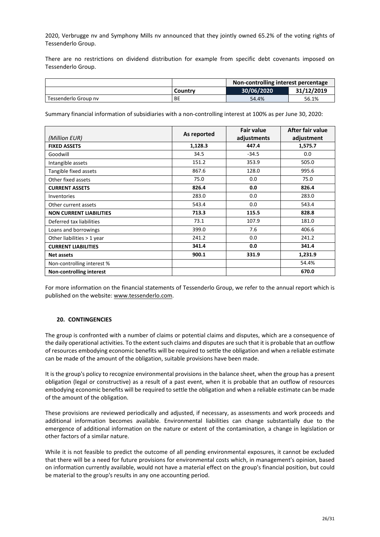2020, Verbrugge nv and Symphony Mills nv announced that they jointly owned 65.2% of the voting rights of Tessenderlo Group.

There are no restrictions on dividend distribution for example from specific debt covenants imposed on Tessenderlo Group.

|                      |           | Non-controlling interest percentage |            |  |
|----------------------|-----------|-------------------------------------|------------|--|
|                      | Country   | 30/06/2020                          | 31/12/2019 |  |
| Tessenderlo Group ny | <b>BE</b> | 54.4%                               | 56.1%      |  |

Summary financial information of subsidiaries with a non-controlling interest at 100% as per June 30, 2020:

|                                | As reported | <b>Fair value</b> | After fair value |  |
|--------------------------------|-------------|-------------------|------------------|--|
| (Million EUR)                  |             | adjustments       | adjustment       |  |
| <b>FIXED ASSETS</b>            | 1,128.3     | 447.4             | 1,575.7          |  |
| Goodwill                       | 34.5        | $-34.5$           | 0.0              |  |
| Intangible assets              | 151.2       | 353.9             | 505.0            |  |
| Tangible fixed assets          | 867.6       | 128.0             | 995.6            |  |
| Other fixed assets             | 75.0        | 0.0               | 75.0             |  |
| <b>CURRENT ASSETS</b>          | 826.4       | 0.0               | 826.4            |  |
| <b>Inventories</b>             | 283.0       | 0.0               | 283.0            |  |
| Other current assets           | 543.4       | 0.0               | 543.4            |  |
| <b>NON CURRENT LIABILITIES</b> | 713.3       | 115.5             | 828.8            |  |
| Deferred tax liabilities       | 73.1        | 107.9             | 181.0            |  |
| Loans and borrowings           | 399.0       | 7.6               | 406.6            |  |
| Other liabilities > 1 year     | 241.2       | 0.0               | 241.2            |  |
| <b>CURRENT LIABILITIES</b>     | 341.4       | 0.0               | 341.4            |  |
| <b>Net assets</b>              | 900.1       | 331.9             | 1,231.9          |  |
| Non-controlling interest %     |             |                   | 54.4%            |  |
| Non-controlling interest       |             |                   | 670.0            |  |

For more information on the financial statements of Tessenderlo Group, we refer to the annual report which is published on the website[: www.tessenderlo.com.](http://www.tessenderlo.com/)

## <span id="page-25-0"></span>**20. CONTINGENCIES**

The group is confronted with a number of claims or potential claims and disputes, which are a consequence of the daily operational activities. To the extent such claims and disputes are such that it is probable that an outflow of resources embodying economic benefits will be required to settle the obligation and when a reliable estimate can be made of the amount of the obligation, suitable provisions have been made.

It is the group's policy to recognize environmental provisions in the balance sheet, when the group has a present obligation (legal or constructive) as a result of a past event, when it is probable that an outflow of resources embodying economic benefits will be required to settle the obligation and when a reliable estimate can be made of the amount of the obligation.

These provisions are reviewed periodically and adjusted, if necessary, as assessments and work proceeds and additional information becomes available. Environmental liabilities can change substantially due to the emergence of additional information on the nature or extent of the contamination, a change in legislation or other factors of a similar nature.

While it is not feasible to predict the outcome of all pending environmental exposures, it cannot be excluded that there will be a need for future provisions for environmental costs which, in management's opinion, based on information currently available, would not have a material effect on the group's financial position, but could be material to the group's results in any one accounting period.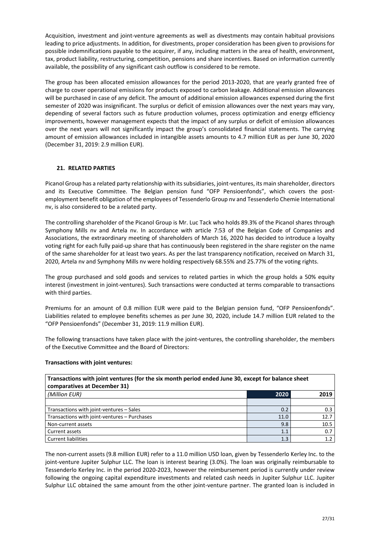Acquisition, investment and joint-venture agreements as well as divestments may contain habitual provisions leading to price adjustments. In addition, for divestments, proper consideration has been given to provisions for possible indemnifications payable to the acquirer, if any, including matters in the area of health, environment, tax, product liability, restructuring, competition, pensions and share incentives. Based on information currently available, the possibility of any significant cash outflow is considered to be remote.

The group has been allocated emission allowances for the period 2013-2020, that are yearly granted free of charge to cover operational emissions for products exposed to carbon leakage. Additional emission allowances will be purchased in case of any deficit. The amount of additional emission allowances expensed during the first semester of 2020 was insignificant. The surplus or deficit of emission allowances over the next years may vary, depending of several factors such as future production volumes, process optimization and energy efficiency improvements, however management expects that the impact of any surplus or deficit of emission allowances over the next years will not significantly impact the group's consolidated financial statements. The carrying amount of emission allowances included in intangible assets amounts to 4.7 million EUR as per June 30, 2020 (December 31, 2019: 2.9 million EUR).

## <span id="page-26-0"></span>**21. RELATED PARTIES**

Picanol Group has a related party relationship with its subsidiaries, joint-ventures, its main shareholder, directors and its Executive Committee. The Belgian pension fund "OFP Pensioenfonds", which covers the postemployment benefit obligation of the employees of Tessenderlo Group nv and Tessenderlo Chemie International nv, is also considered to be a related party.

The controlling shareholder of the Picanol Group is Mr. Luc Tack who holds 89.3% of the Picanol shares through Symphony Mills nv and Artela nv. In accordance with article 7:53 of the Belgian Code of Companies and Associations, the extraordinary meeting of shareholders of March 16, 2020 has decided to introduce a loyalty voting right for each fully paid-up share that has continuously been registered in the share register on the name of the same shareholder for at least two years. As per the last transparency notification, received on March 31, 2020, Artela nv and Symphony Mills nv were holding respectively 68.55% and 25.77% of the voting rights.

The group purchased and sold goods and services to related parties in which the group holds a 50% equity interest (investment in joint-ventures). Such transactions were conducted at terms comparable to transactions with third parties.

Premiums for an amount of 0.8 million EUR were paid to the Belgian pension fund, "OFP Pensioenfonds". Liabilities related to employee benefits schemes as per June 30, 2020, include 14.7 million EUR related to the "OFP Pensioenfonds" (December 31, 2019: 11.9 million EUR).

The following transactions have taken place with the joint-ventures, the controlling shareholder, the members of the Executive Committee and the Board of Directors:

## **Transactions with joint ventures:**

| Transactions with joint ventures (for the six month period ended June 30, except for balance sheet<br>comparatives at December 31) |      |      |  |
|------------------------------------------------------------------------------------------------------------------------------------|------|------|--|
| (Million EUR)                                                                                                                      | 2020 | 2019 |  |
|                                                                                                                                    |      |      |  |
| Transactions with joint-ventures - Sales                                                                                           | 0.2  | 0.3  |  |
| Transactions with joint-ventures - Purchases                                                                                       | 11.0 | 12.7 |  |
| Non-current assets                                                                                                                 | 9.8  | 10.5 |  |
| Current assets                                                                                                                     | 1.1  | 0.7  |  |
| <b>Current liabilities</b>                                                                                                         | 1.3  | 1.2  |  |

The non-current assets (9.8 million EUR) refer to a 11.0 million USD loan, given by Tessenderlo Kerley Inc. to the joint-venture Jupiter Sulphur LLC. The loan is interest bearing (3.0%). The loan was originally reimbursable to Tessenderlo Kerley Inc. in the period 2020-2023, however the reimbursement period is currently under review following the ongoing capital expenditure investments and related cash needs in Jupiter Sulphur LLC. Jupiter Sulphur LLC obtained the same amount from the other joint-venture partner. The granted loan is included in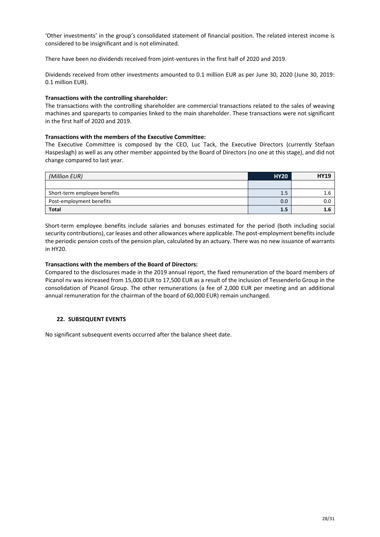'Other investments' in the group's consolidated statement of financial position. The related interest income is considered to be insignificant and is not eliminated.

There have been no dividends received from joint-ventures in the first half of 2020 and 2019.

Dividends received from other investments amounted to 0.1 million EUR as per June 30, 2020 (June 30, 2019: 0.1 million EUR).

## **Transactions with the controlling shareholder:**

The transactions with the controlling shareholder are commercial transactions related to the sales of weaving machines and spareparts to companies linked to the main shareholder. These transactions were not significant in the first half of 2020 and 2019.

## **Transactions with the members of the Executive Committee:**

The Executive Committee is composed by the CEO, Luc Tack, the Executive Directors (currently Stefaan Haspeslagh) as well as any other member appointed by the Board of Directors (no one at this stage), and did not change compared to last year.

| (Million EUR)                | <b>HY20</b> | <b>HY19</b> |
|------------------------------|-------------|-------------|
|                              |             |             |
| Short-term employee benefits | 1.5         |             |
| Post-employment benefits     | 0.0         | 0.0         |
| <b>Total</b>                 | 1.5         | 1.0         |

Short-term employee benefits include salaries and bonuses estimated for the period (both including social security contributions), car leases and other allowances where applicable. The post-employment benefits include the periodic pension costs of the pension plan, calculated by an actuary. There was no new issuance of warrants in HY20.

## **Transactions with the members of the Board of Directors:**

Compared to the disclosures made in the 2019 annual report, the fixed remuneration of the board members of Picanol nv was increased from 15,000 EUR to 17,500 EUR as a result of the inclusion of Tessenderlo Group in the consolidation of Picanol Group. The other remunerations (a fee of 2,000 EUR per meeting and an additional annual remuneration for the chairman of the board of 60,000 EUR) remain unchanged.

## <span id="page-27-0"></span>**22. SUBSEQUENT EVENTS**

No significant subsequent events occurred after the balance sheet date.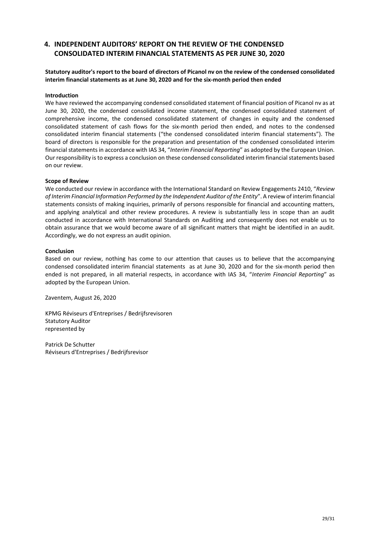# <span id="page-28-0"></span>**4. INDEPENDENT AUDITORS' REPORT ON THE REVIEW OF THE CONDENSED CONSOLIDATED INTERIM FINANCIAL STATEMENTS AS PER JUNE 30, 2020**

## **Statutory auditor's report to the board of directors of Picanol nv on the review of the condensed consolidated interim financial statements as at June 30, 2020 and for the six-month period then ended**

#### **Introduction**

We have reviewed the accompanying condensed consolidated statement of financial position of Picanol nv as at June 30, 2020, the condensed consolidated income statement, the condensed consolidated statement of comprehensive income, the condensed consolidated statement of changes in equity and the condensed consolidated statement of cash flows for the six-month period then ended, and notes to the condensed consolidated interim financial statements ("the condensed consolidated interim financial statements"). The board of directors is responsible for the preparation and presentation of the condensed consolidated interim financial statements in accordance with IAS 34, "*Interim Financial Reporting*" as adopted by the European Union. Our responsibility is to express a conclusion on these condensed consolidated interim financial statements based on our review.

#### **Scope of Review**

We conducted our review in accordance with the International Standard on Review Engagements 2410, "*Review of Interim Financial Information Performed by the Independent Auditor of the Entity*". A review of interim financial statements consists of making inquiries, primarily of persons responsible for financial and accounting matters, and applying analytical and other review procedures. A review is substantially less in scope than an audit conducted in accordance with International Standards on Auditing and consequently does not enable us to obtain assurance that we would become aware of all significant matters that might be identified in an audit. Accordingly, we do not express an audit opinion.

#### **Conclusion**

Based on our review, nothing has come to our attention that causes us to believe that the accompanying condensed consolidated interim financial statements as at June 30, 2020 and for the six-month period then ended is not prepared, in all material respects, in accordance with IAS 34, "*Interim Financial Reporting*" as adopted by the European Union.

Zaventem, August 26, 2020

KPMG Réviseurs d'Entreprises / Bedrijfsrevisoren Statutory Auditor represented by

Patrick De Schutter Réviseurs d'Entreprises / Bedrijfsrevisor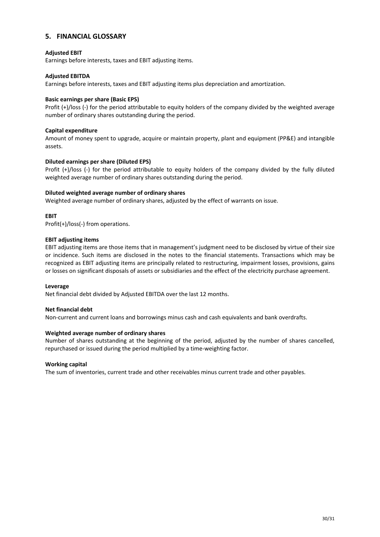## <span id="page-29-0"></span>**5. FINANCIAL GLOSSARY**

## **Adjusted EBIT**

Earnings before interests, taxes and EBIT adjusting items.

## **Adjusted EBITDA**

Earnings before interests, taxes and EBIT adjusting items plus depreciation and amortization.

## **Basic earnings per share (Basic EPS)**

Profit (+)/loss (-) for the period attributable to equity holders of the company divided by the weighted average number of ordinary shares outstanding during the period.

## **Capital expenditure**

Amount of money spent to upgrade, acquire or maintain property, plant and equipment (PP&E) and intangible assets.

## **Diluted earnings per share (Diluted EPS)**

Profit (+)/loss (-) for the period attributable to equity holders of the company divided by the fully diluted weighted average number of ordinary shares outstanding during the period.

#### **Diluted weighted average number of ordinary shares**

Weighted average number of ordinary shares, adjusted by the effect of warrants on issue.

## **EBIT**

Profit(+)/loss(-) from operations.

#### **EBIT adjusting items**

EBIT adjusting items are those items that in management's judgment need to be disclosed by virtue of their size or incidence. Such items are disclosed in the notes to the financial statements. Transactions which may be recognized as EBIT adjusting items are principally related to restructuring, impairment losses, provisions, gains or losses on significant disposals of assets or subsidiaries and the effect of the electricity purchase agreement.

#### **Leverage**

Net financial debt divided by Adjusted EBITDA over the last 12 months.

## **Net financial debt**

Non-current and current loans and borrowings minus cash and cash equivalents and bank overdrafts.

## **Weighted average number of ordinary shares**

Number of shares outstanding at the beginning of the period, adjusted by the number of shares cancelled, repurchased or issued during the period multiplied by a time-weighting factor.

## **Working capital**

The sum of inventories, current trade and other receivables minus current trade and other payables.